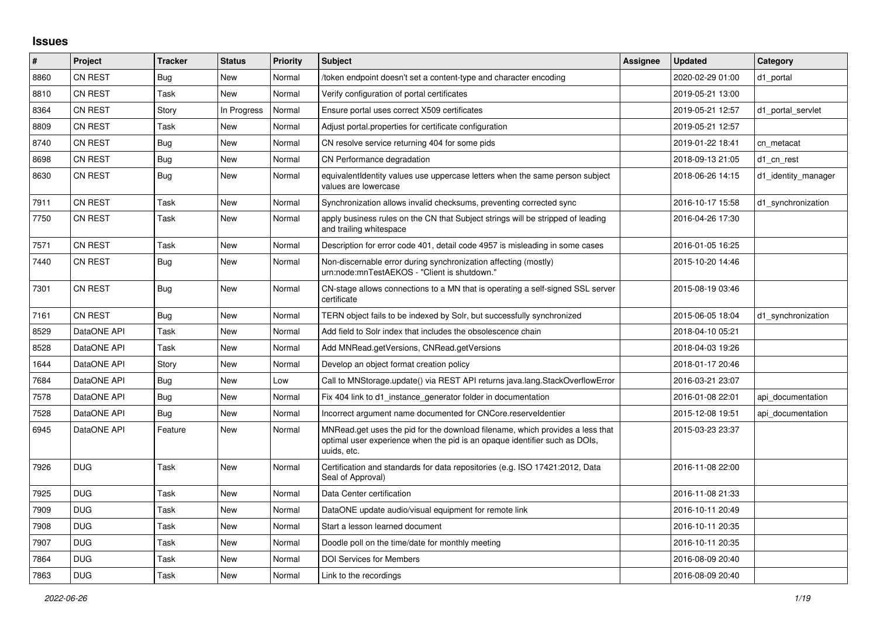## **Issues**

| #    | Project        | <b>Tracker</b> | <b>Status</b> | Priority | <b>Subject</b>                                                                                                                                                             | <b>Assignee</b> | <b>Updated</b>   | Category            |
|------|----------------|----------------|---------------|----------|----------------------------------------------------------------------------------------------------------------------------------------------------------------------------|-----------------|------------------|---------------------|
| 8860 | <b>CN REST</b> | Bug            | New           | Normal   | token endpoint doesn't set a content-type and character encoding                                                                                                           |                 | 2020-02-29 01:00 | d1 portal           |
| 8810 | <b>CN REST</b> | Task           | New           | Normal   | Verify configuration of portal certificates                                                                                                                                |                 | 2019-05-21 13:00 |                     |
| 8364 | CN REST        | Story          | In Progress   | Normal   | Ensure portal uses correct X509 certificates                                                                                                                               |                 | 2019-05-21 12:57 | d1 portal servlet   |
| 8809 | <b>CN REST</b> | Task           | New           | Normal   | Adjust portal properties for certificate configuration                                                                                                                     |                 | 2019-05-21 12:57 |                     |
| 8740 | <b>CN REST</b> | <b>Bug</b>     | New           | Normal   | CN resolve service returning 404 for some pids                                                                                                                             |                 | 2019-01-22 18:41 | cn metacat          |
| 8698 | <b>CN REST</b> | <b>Bug</b>     | New           | Normal   | CN Performance degradation                                                                                                                                                 |                 | 2018-09-13 21:05 | d1_cn_rest          |
| 8630 | <b>CN REST</b> | Bug            | New           | Normal   | equivalentIdentity values use uppercase letters when the same person subject<br>values are lowercase                                                                       |                 | 2018-06-26 14:15 | d1 identity manager |
| 7911 | <b>CN REST</b> | Task           | New           | Normal   | Synchronization allows invalid checksums, preventing corrected sync                                                                                                        |                 | 2016-10-17 15:58 | d1 synchronization  |
| 7750 | <b>CN REST</b> | Task           | <b>New</b>    | Normal   | apply business rules on the CN that Subject strings will be stripped of leading<br>and trailing whitespace                                                                 |                 | 2016-04-26 17:30 |                     |
| 7571 | <b>CN REST</b> | Task           | <b>New</b>    | Normal   | Description for error code 401, detail code 4957 is misleading in some cases                                                                                               |                 | 2016-01-05 16:25 |                     |
| 7440 | <b>CN REST</b> | Bug            | New           | Normal   | Non-discernable error during synchronization affecting (mostly)<br>urn:node:mnTestAEKOS - "Client is shutdown."                                                            |                 | 2015-10-20 14:46 |                     |
| 7301 | <b>CN REST</b> | Bug            | New           | Normal   | CN-stage allows connections to a MN that is operating a self-signed SSL server<br>certificate                                                                              |                 | 2015-08-19 03:46 |                     |
| 7161 | <b>CN REST</b> | <b>Bug</b>     | <b>New</b>    | Normal   | TERN object fails to be indexed by Solr, but successfully synchronized                                                                                                     |                 | 2015-06-05 18:04 | d1_synchronization  |
| 8529 | DataONE API    | Task           | New           | Normal   | Add field to Solr index that includes the obsolescence chain                                                                                                               |                 | 2018-04-10 05:21 |                     |
| 8528 | DataONE API    | Task           | New           | Normal   | Add MNRead.getVersions, CNRead.getVersions                                                                                                                                 |                 | 2018-04-03 19:26 |                     |
| 1644 | DataONE API    | Story          | New           | Normal   | Develop an object format creation policy                                                                                                                                   |                 | 2018-01-17 20:46 |                     |
| 7684 | DataONE API    | Bug            | New           | Low      | Call to MNStorage.update() via REST API returns java.lang.StackOverflowError                                                                                               |                 | 2016-03-21 23:07 |                     |
| 7578 | DataONE API    | <b>Bug</b>     | New           | Normal   | Fix 404 link to d1 instance generator folder in documentation                                                                                                              |                 | 2016-01-08 22:01 | api documentation   |
| 7528 | DataONE API    | <b>Bug</b>     | New           | Normal   | Incorrect argument name documented for CNCore.reserveldentier                                                                                                              |                 | 2015-12-08 19:51 | api documentation   |
| 6945 | DataONE API    | Feature        | New           | Normal   | MNRead.get uses the pid for the download filename, which provides a less that<br>optimal user experience when the pid is an opaque identifier such as DOIs,<br>uuids. etc. |                 | 2015-03-23 23:37 |                     |
| 7926 | <b>DUG</b>     | Task           | <b>New</b>    | Normal   | Certification and standards for data repositories (e.g. ISO 17421:2012, Data<br>Seal of Approval)                                                                          |                 | 2016-11-08 22:00 |                     |
| 7925 | <b>DUG</b>     | Task           | New           | Normal   | Data Center certification                                                                                                                                                  |                 | 2016-11-08 21:33 |                     |
| 7909 | <b>DUG</b>     | Task           | New           | Normal   | DataONE update audio/visual equipment for remote link                                                                                                                      |                 | 2016-10-11 20:49 |                     |
| 7908 | <b>DUG</b>     | Task           | New           | Normal   | Start a lesson learned document                                                                                                                                            |                 | 2016-10-11 20:35 |                     |
| 7907 | <b>DUG</b>     | Task           | New           | Normal   | Doodle poll on the time/date for monthly meeting                                                                                                                           |                 | 2016-10-11 20:35 |                     |
| 7864 | <b>DUG</b>     | Task           | <b>New</b>    | Normal   | <b>DOI Services for Members</b>                                                                                                                                            |                 | 2016-08-09 20:40 |                     |
| 7863 | <b>DUG</b>     | Task           | <b>New</b>    | Normal   | Link to the recordings                                                                                                                                                     |                 | 2016-08-09 20:40 |                     |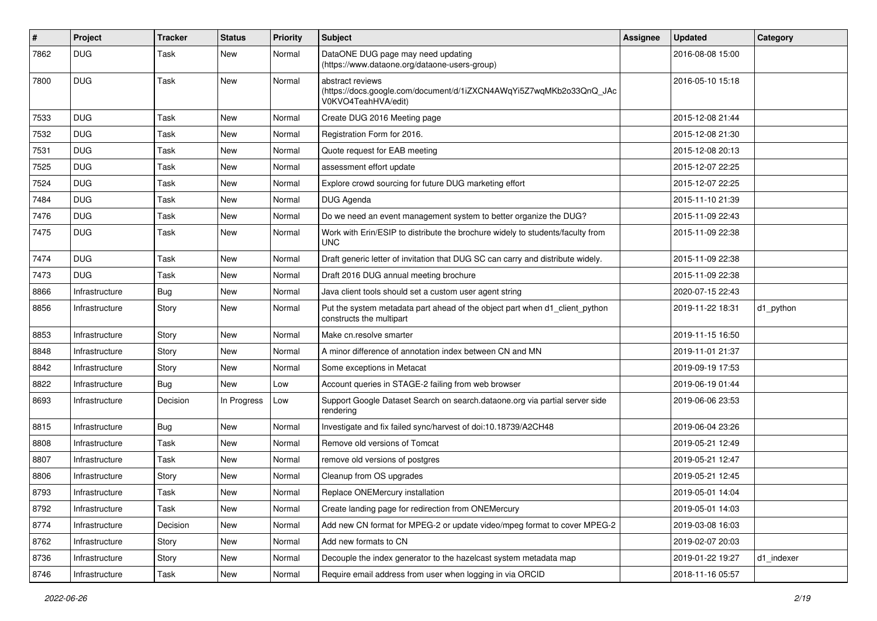| $\vert$ # | Project        | <b>Tracker</b> | <b>Status</b> | <b>Priority</b> | <b>Subject</b>                                                                                                 | <b>Assignee</b> | <b>Updated</b>   | Category   |
|-----------|----------------|----------------|---------------|-----------------|----------------------------------------------------------------------------------------------------------------|-----------------|------------------|------------|
| 7862      | <b>DUG</b>     | Task           | New           | Normal          | DataONE DUG page may need updating<br>(https://www.dataone.org/dataone-users-group)                            |                 | 2016-08-08 15:00 |            |
| 7800      | <b>DUG</b>     | Task           | New           | Normal          | abstract reviews<br>(https://docs.google.com/document/d/1iZXCN4AWqYi5Z7wqMKb2o33QnQ_JAc<br>V0KVO4TeahHVA/edit) |                 | 2016-05-10 15:18 |            |
| 7533      | <b>DUG</b>     | Task           | New           | Normal          | Create DUG 2016 Meeting page                                                                                   |                 | 2015-12-08 21:44 |            |
| 7532      | <b>DUG</b>     | Task           | New           | Normal          | Registration Form for 2016.                                                                                    |                 | 2015-12-08 21:30 |            |
| 7531      | <b>DUG</b>     | Task           | New           | Normal          | Quote request for EAB meeting                                                                                  |                 | 2015-12-08 20:13 |            |
| 7525      | <b>DUG</b>     | Task           | New           | Normal          | assessment effort update                                                                                       |                 | 2015-12-07 22:25 |            |
| 7524      | <b>DUG</b>     | Task           | <b>New</b>    | Normal          | Explore crowd sourcing for future DUG marketing effort                                                         |                 | 2015-12-07 22:25 |            |
| 7484      | <b>DUG</b>     | Task           | New           | Normal          | DUG Agenda                                                                                                     |                 | 2015-11-10 21:39 |            |
| 7476      | <b>DUG</b>     | Task           | New           | Normal          | Do we need an event management system to better organize the DUG?                                              |                 | 2015-11-09 22:43 |            |
| 7475      | <b>DUG</b>     | Task           | New           | Normal          | Work with Erin/ESIP to distribute the brochure widely to students/faculty from<br><b>UNC</b>                   |                 | 2015-11-09 22:38 |            |
| 7474      | <b>DUG</b>     | Task           | <b>New</b>    | Normal          | Draft generic letter of invitation that DUG SC can carry and distribute widely.                                |                 | 2015-11-09 22:38 |            |
| 7473      | <b>DUG</b>     | Task           | New           | Normal          | Draft 2016 DUG annual meeting brochure                                                                         |                 | 2015-11-09 22:38 |            |
| 8866      | Infrastructure | <b>Bug</b>     | New           | Normal          | Java client tools should set a custom user agent string                                                        |                 | 2020-07-15 22:43 |            |
| 8856      | Infrastructure | Story          | New           | Normal          | Put the system metadata part ahead of the object part when d1_client_python<br>constructs the multipart        |                 | 2019-11-22 18:31 | d1_python  |
| 8853      | Infrastructure | Story          | New           | Normal          | Make cn.resolve smarter                                                                                        |                 | 2019-11-15 16:50 |            |
| 8848      | Infrastructure | Story          | New           | Normal          | A minor difference of annotation index between CN and MN                                                       |                 | 2019-11-01 21:37 |            |
| 8842      | Infrastructure | Story          | New           | Normal          | Some exceptions in Metacat                                                                                     |                 | 2019-09-19 17:53 |            |
| 8822      | Infrastructure | <b>Bug</b>     | <b>New</b>    | Low             | Account queries in STAGE-2 failing from web browser                                                            |                 | 2019-06-19 01:44 |            |
| 8693      | Infrastructure | Decision       | In Progress   | Low             | Support Google Dataset Search on search.dataone.org via partial server side<br>rendering                       |                 | 2019-06-06 23:53 |            |
| 8815      | Infrastructure | <b>Bug</b>     | New           | Normal          | Investigate and fix failed sync/harvest of doi:10.18739/A2CH48                                                 |                 | 2019-06-04 23:26 |            |
| 8808      | Infrastructure | Task           | New           | Normal          | Remove old versions of Tomcat                                                                                  |                 | 2019-05-21 12:49 |            |
| 8807      | Infrastructure | Task           | New           | Normal          | remove old versions of postgres                                                                                |                 | 2019-05-21 12:47 |            |
| 8806      | Infrastructure | Story          | New           | Normal          | Cleanup from OS upgrades                                                                                       |                 | 2019-05-21 12:45 |            |
| 8793      | Infrastructure | Task           | New           | Normal          | Replace ONEMercury installation                                                                                |                 | 2019-05-01 14:04 |            |
| 8792      | Infrastructure | Task           | New           | Normal          | Create landing page for redirection from ONEMercury                                                            |                 | 2019-05-01 14:03 |            |
| 8774      | Infrastructure | Decision       | New           | Normal          | Add new CN format for MPEG-2 or update video/mpeg format to cover MPEG-2                                       |                 | 2019-03-08 16:03 |            |
| 8762      | Infrastructure | Story          | New           | Normal          | Add new formats to CN                                                                                          |                 | 2019-02-07 20:03 |            |
| 8736      | Infrastructure | Story          | New           | Normal          | Decouple the index generator to the hazelcast system metadata map                                              |                 | 2019-01-22 19:27 | d1_indexer |
| 8746      | Infrastructure | Task           | New           | Normal          | Require email address from user when logging in via ORCID                                                      |                 | 2018-11-16 05:57 |            |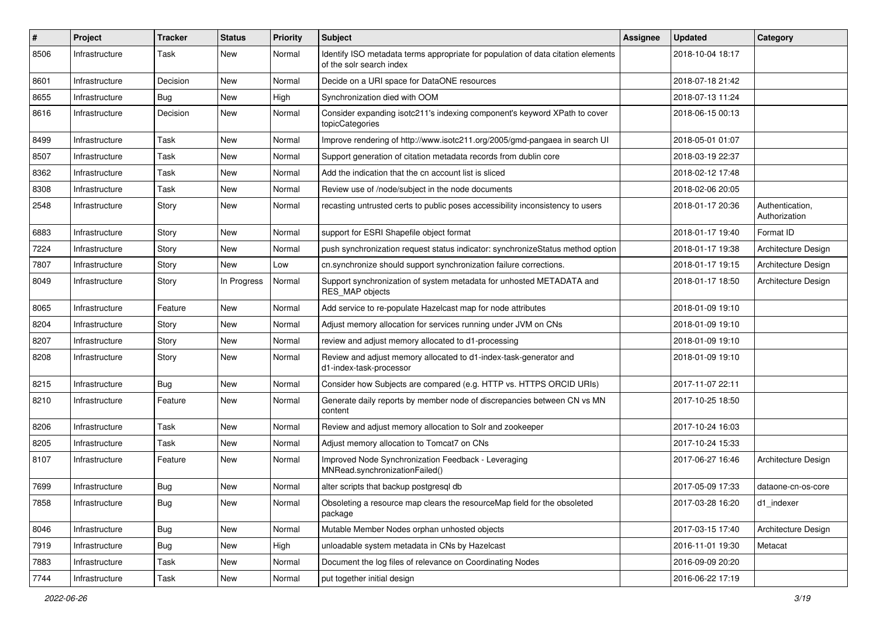| #    | Project        | <b>Tracker</b> | <b>Status</b> | <b>Priority</b> | <b>Subject</b>                                                                                               | <b>Assignee</b> | <b>Updated</b>   | Category                         |
|------|----------------|----------------|---------------|-----------------|--------------------------------------------------------------------------------------------------------------|-----------------|------------------|----------------------------------|
| 8506 | Infrastructure | Task           | New           | Normal          | Identify ISO metadata terms appropriate for population of data citation elements<br>of the solr search index |                 | 2018-10-04 18:17 |                                  |
| 8601 | Infrastructure | Decision       | <b>New</b>    | Normal          | Decide on a URI space for DataONE resources                                                                  |                 | 2018-07-18 21:42 |                                  |
| 8655 | Infrastructure | Bug            | New           | High            | Synchronization died with OOM                                                                                |                 | 2018-07-13 11:24 |                                  |
| 8616 | Infrastructure | Decision       | New           | Normal          | Consider expanding isotc211's indexing component's keyword XPath to cover<br>topicCategories                 |                 | 2018-06-15 00:13 |                                  |
| 8499 | Infrastructure | Task           | <b>New</b>    | Normal          | Improve rendering of http://www.isotc211.org/2005/gmd-pangaea in search UI                                   |                 | 2018-05-01 01:07 |                                  |
| 8507 | Infrastructure | Task           | New           | Normal          | Support generation of citation metadata records from dublin core                                             |                 | 2018-03-19 22:37 |                                  |
| 8362 | Infrastructure | Task           | New           | Normal          | Add the indication that the cn account list is sliced                                                        |                 | 2018-02-12 17:48 |                                  |
| 8308 | Infrastructure | Task           | New           | Normal          | Review use of /node/subject in the node documents                                                            |                 | 2018-02-06 20:05 |                                  |
| 2548 | Infrastructure | Story          | New           | Normal          | recasting untrusted certs to public poses accessibility inconsistency to users                               |                 | 2018-01-17 20:36 | Authentication,<br>Authorization |
| 6883 | Infrastructure | Story          | New           | Normal          | support for ESRI Shapefile object format                                                                     |                 | 2018-01-17 19:40 | Format ID                        |
| 7224 | Infrastructure | Story          | New           | Normal          | push synchronization request status indicator: synchronizeStatus method option                               |                 | 2018-01-17 19:38 | Architecture Design              |
| 7807 | Infrastructure | Story          | <b>New</b>    | Low             | cn.synchronize should support synchronization failure corrections.                                           |                 | 2018-01-17 19:15 | Architecture Design              |
| 8049 | Infrastructure | Story          | In Progress   | Normal          | Support synchronization of system metadata for unhosted METADATA and<br>RES MAP objects                      |                 | 2018-01-17 18:50 | Architecture Design              |
| 8065 | Infrastructure | Feature        | New           | Normal          | Add service to re-populate Hazelcast map for node attributes                                                 |                 | 2018-01-09 19:10 |                                  |
| 8204 | Infrastructure | Story          | New           | Normal          | Adjust memory allocation for services running under JVM on CNs                                               |                 | 2018-01-09 19:10 |                                  |
| 8207 | Infrastructure | Story          | New           | Normal          | review and adjust memory allocated to d1-processing                                                          |                 | 2018-01-09 19:10 |                                  |
| 8208 | Infrastructure | Story          | New           | Normal          | Review and adjust memory allocated to d1-index-task-generator and<br>d1-index-task-processor                 |                 | 2018-01-09 19:10 |                                  |
| 8215 | Infrastructure | <b>Bug</b>     | New           | Normal          | Consider how Subjects are compared (e.g. HTTP vs. HTTPS ORCID URIs)                                          |                 | 2017-11-07 22:11 |                                  |
| 8210 | Infrastructure | Feature        | New           | Normal          | Generate daily reports by member node of discrepancies between CN vs MN<br>content                           |                 | 2017-10-25 18:50 |                                  |
| 8206 | Infrastructure | Task           | New           | Normal          | Review and adjust memory allocation to Solr and zookeeper                                                    |                 | 2017-10-24 16:03 |                                  |
| 8205 | Infrastructure | Task           | New           | Normal          | Adjust memory allocation to Tomcat7 on CNs                                                                   |                 | 2017-10-24 15:33 |                                  |
| 8107 | Infrastructure | Feature        | New           | Normal          | Improved Node Synchronization Feedback - Leveraging<br>MNRead.synchronizationFailed()                        |                 | 2017-06-27 16:46 | Architecture Design              |
| 7699 | Infrastructure | <b>Bug</b>     | New           | Normal          | alter scripts that backup postgresgl db                                                                      |                 | 2017-05-09 17:33 | dataone-cn-os-core               |
| 7858 | Infrastructure | <b>Bug</b>     | New           | Normal          | Obsoleting a resource map clears the resourceMap field for the obsoleted<br>package                          |                 | 2017-03-28 16:20 | d1 indexer                       |
| 8046 | Infrastructure | <b>Bug</b>     | New           | Normal          | Mutable Member Nodes orphan unhosted objects                                                                 |                 | 2017-03-15 17:40 | Architecture Design              |
| 7919 | Infrastructure | <b>Bug</b>     | New           | High            | unloadable system metadata in CNs by Hazelcast                                                               |                 | 2016-11-01 19:30 | Metacat                          |
| 7883 | Infrastructure | Task           | New           | Normal          | Document the log files of relevance on Coordinating Nodes                                                    |                 | 2016-09-09 20:20 |                                  |
| 7744 | Infrastructure | Task           | New           | Normal          | put together initial design                                                                                  |                 | 2016-06-22 17:19 |                                  |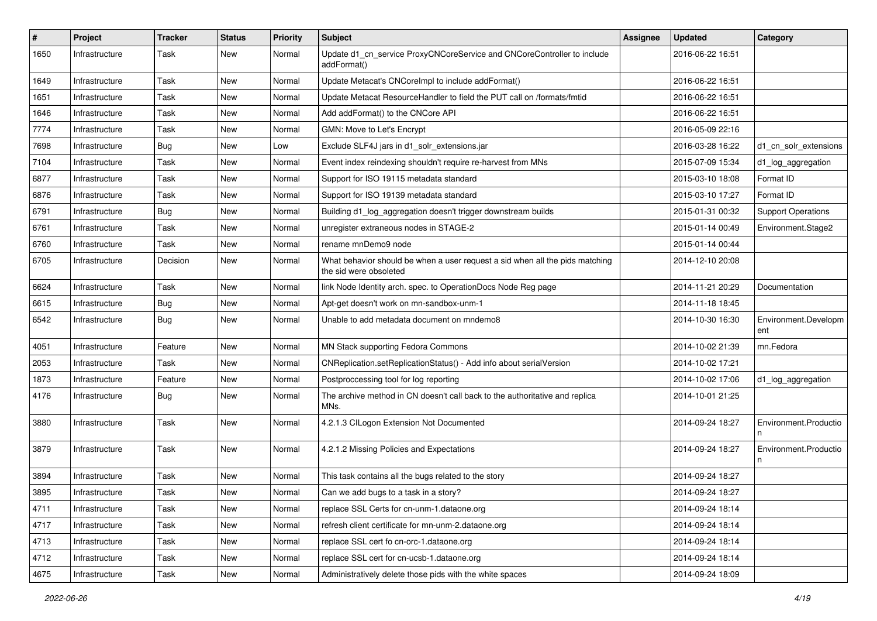| $\vert$ # | Project        | <b>Tracker</b> | <b>Status</b> | <b>Priority</b> | <b>Subject</b>                                                                                         | <b>Assignee</b> | <b>Updated</b>   | Category                    |
|-----------|----------------|----------------|---------------|-----------------|--------------------------------------------------------------------------------------------------------|-----------------|------------------|-----------------------------|
| 1650      | Infrastructure | Task           | New           | Normal          | Update d1_cn_service ProxyCNCoreService and CNCoreController to include<br>addFormat()                 |                 | 2016-06-22 16:51 |                             |
| 1649      | Infrastructure | Task           | <b>New</b>    | Normal          | Update Metacat's CNCorelmpl to include addFormat()                                                     |                 | 2016-06-22 16:51 |                             |
| 1651      | Infrastructure | Task           | New           | Normal          | Update Metacat ResourceHandler to field the PUT call on /formats/fmtid                                 |                 | 2016-06-22 16:51 |                             |
| 1646      | Infrastructure | Task           | New           | Normal          | Add addFormat() to the CNCore API                                                                      |                 | 2016-06-22 16:51 |                             |
| 7774      | Infrastructure | Task           | New           | Normal          | GMN: Move to Let's Encrypt                                                                             |                 | 2016-05-09 22:16 |                             |
| 7698      | Infrastructure | <b>Bug</b>     | New           | Low             | Exclude SLF4J jars in d1_solr_extensions.jar                                                           |                 | 2016-03-28 16:22 | d1_cn_solr_extensions       |
| 7104      | Infrastructure | Task           | New           | Normal          | Event index reindexing shouldn't require re-harvest from MNs                                           |                 | 2015-07-09 15:34 | d1_log_aggregation          |
| 6877      | Infrastructure | Task           | New           | Normal          | Support for ISO 19115 metadata standard                                                                |                 | 2015-03-10 18:08 | Format ID                   |
| 6876      | Infrastructure | Task           | New           | Normal          | Support for ISO 19139 metadata standard                                                                |                 | 2015-03-10 17:27 | Format ID                   |
| 6791      | Infrastructure | <b>Bug</b>     | New           | Normal          | Building d1_log_aggregation doesn't trigger downstream builds                                          |                 | 2015-01-31 00:32 | <b>Support Operations</b>   |
| 6761      | Infrastructure | Task           | New           | Normal          | unregister extraneous nodes in STAGE-2                                                                 |                 | 2015-01-14 00:49 | Environment.Stage2          |
| 6760      | Infrastructure | Task           | New           | Normal          | rename mnDemo9 node                                                                                    |                 | 2015-01-14 00:44 |                             |
| 6705      | Infrastructure | Decision       | New           | Normal          | What behavior should be when a user request a sid when all the pids matching<br>the sid were obsoleted |                 | 2014-12-10 20:08 |                             |
| 6624      | Infrastructure | Task           | New           | Normal          | link Node Identity arch. spec. to OperationDocs Node Reg page                                          |                 | 2014-11-21 20:29 | Documentation               |
| 6615      | Infrastructure | Bug            | New           | Normal          | Apt-get doesn't work on mn-sandbox-unm-1                                                               |                 | 2014-11-18 18:45 |                             |
| 6542      | Infrastructure | <b>Bug</b>     | New           | Normal          | Unable to add metadata document on mndemo8                                                             |                 | 2014-10-30 16:30 | Environment.Developm<br>ent |
| 4051      | Infrastructure | Feature        | New           | Normal          | MN Stack supporting Fedora Commons                                                                     |                 | 2014-10-02 21:39 | mn.Fedora                   |
| 2053      | Infrastructure | Task           | New           | Normal          | CNReplication.setReplicationStatus() - Add info about serialVersion                                    |                 | 2014-10-02 17:21 |                             |
| 1873      | Infrastructure | Feature        | New           | Normal          | Postproccessing tool for log reporting                                                                 |                 | 2014-10-02 17:06 | d1_log_aggregation          |
| 4176      | Infrastructure | <b>Bug</b>     | New           | Normal          | The archive method in CN doesn't call back to the authoritative and replica<br>MNs.                    |                 | 2014-10-01 21:25 |                             |
| 3880      | Infrastructure | Task           | New           | Normal          | 4.2.1.3 CILogon Extension Not Documented                                                               |                 | 2014-09-24 18:27 | Environment.Productio       |
| 3879      | Infrastructure | Task           | New           | Normal          | 4.2.1.2 Missing Policies and Expectations                                                              |                 | 2014-09-24 18:27 | Environment.Productio<br>n  |
| 3894      | Infrastructure | Task           | New           | Normal          | This task contains all the bugs related to the story                                                   |                 | 2014-09-24 18:27 |                             |
| 3895      | Infrastructure | Task           | New           | Normal          | Can we add bugs to a task in a story?                                                                  |                 | 2014-09-24 18:27 |                             |
| 4711      | Infrastructure | Task           | New           | Normal          | replace SSL Certs for cn-unm-1.dataone.org                                                             |                 | 2014-09-24 18:14 |                             |
| 4717      | Infrastructure | Task           | New           | Normal          | refresh client certificate for mn-unm-2.dataone.org                                                    |                 | 2014-09-24 18:14 |                             |
| 4713      | Infrastructure | Task           | New           | Normal          | replace SSL cert fo cn-orc-1.dataone.org                                                               |                 | 2014-09-24 18:14 |                             |
| 4712      | Infrastructure | Task           | New           | Normal          | replace SSL cert for cn-ucsb-1.dataone.org                                                             |                 | 2014-09-24 18:14 |                             |
| 4675      | Infrastructure | Task           | New           | Normal          | Administratively delete those pids with the white spaces                                               |                 | 2014-09-24 18:09 |                             |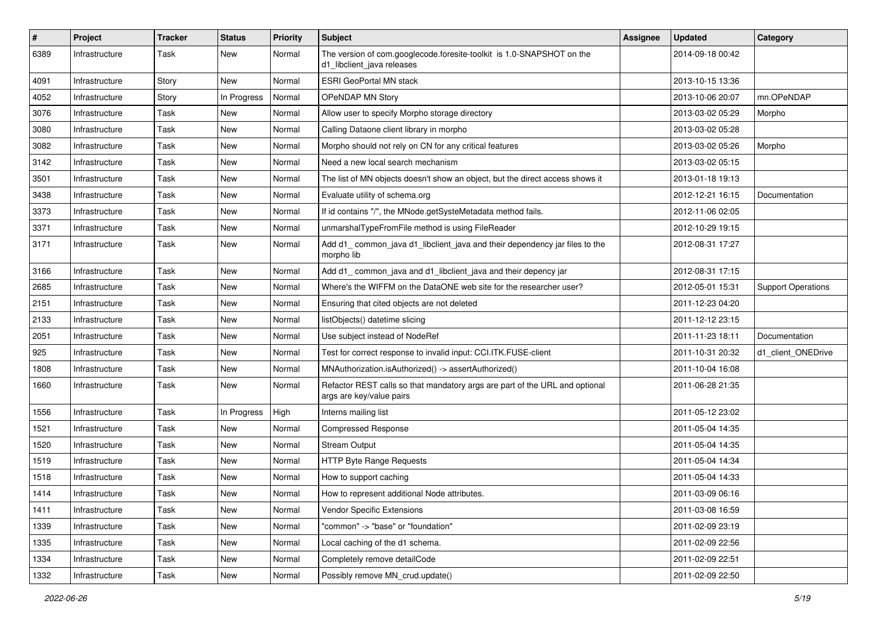| $\sharp$ | Project        | <b>Tracker</b> | <b>Status</b> | <b>Priority</b> | <b>Subject</b>                                                                                          | Assignee | <b>Updated</b>   | Category                  |
|----------|----------------|----------------|---------------|-----------------|---------------------------------------------------------------------------------------------------------|----------|------------------|---------------------------|
| 6389     | Infrastructure | Task           | New           | Normal          | The version of com.googlecode.foresite-toolkit is 1.0-SNAPSHOT on the<br>d1 libclient java releases     |          | 2014-09-18 00:42 |                           |
| 4091     | Infrastructure | Story          | New           | Normal          | <b>ESRI GeoPortal MN stack</b>                                                                          |          | 2013-10-15 13:36 |                           |
| 4052     | Infrastructure | Story          | In Progress   | Normal          | OPeNDAP MN Story                                                                                        |          | 2013-10-06 20:07 | mn.OPeNDAP                |
| 3076     | Infrastructure | Task           | New           | Normal          | Allow user to specify Morpho storage directory                                                          |          | 2013-03-02 05:29 | Morpho                    |
| 3080     | Infrastructure | Task           | New           | Normal          | Calling Dataone client library in morpho                                                                |          | 2013-03-02 05:28 |                           |
| 3082     | Infrastructure | Task           | New           | Normal          | Morpho should not rely on CN for any critical features                                                  |          | 2013-03-02 05:26 | Morpho                    |
| 3142     | Infrastructure | Task           | New           | Normal          | Need a new local search mechanism                                                                       |          | 2013-03-02 05:15 |                           |
| 3501     | Infrastructure | Task           | New           | Normal          | The list of MN objects doesn't show an object, but the direct access shows it                           |          | 2013-01-18 19:13 |                           |
| 3438     | Infrastructure | Task           | New           | Normal          | Evaluate utility of schema.org                                                                          |          | 2012-12-21 16:15 | Documentation             |
| 3373     | Infrastructure | Task           | New           | Normal          | If id contains "/", the MNode.getSysteMetadata method fails.                                            |          | 2012-11-06 02:05 |                           |
| 3371     | Infrastructure | Task           | New           | Normal          | unmarshalTypeFromFile method is using FileReader                                                        |          | 2012-10-29 19:15 |                           |
| 3171     | Infrastructure | Task           | New           | Normal          | Add d1_common_java d1_libclient_java and their dependency jar files to the<br>morpho lib                |          | 2012-08-31 17:27 |                           |
| 3166     | Infrastructure | Task           | New           | Normal          | Add d1_common_java and d1_libclient_java and their depency jar                                          |          | 2012-08-31 17:15 |                           |
| 2685     | Infrastructure | Task           | New           | Normal          | Where's the WIFFM on the DataONE web site for the researcher user?                                      |          | 2012-05-01 15:31 | <b>Support Operations</b> |
| 2151     | Infrastructure | Task           | New           | Normal          | Ensuring that cited objects are not deleted                                                             |          | 2011-12-23 04:20 |                           |
| 2133     | Infrastructure | Task           | New           | Normal          | listObjects() datetime slicing                                                                          |          | 2011-12-12 23:15 |                           |
| 2051     | Infrastructure | Task           | New           | Normal          | Use subject instead of NodeRef                                                                          |          | 2011-11-23 18:11 | Documentation             |
| 925      | Infrastructure | Task           | New           | Normal          | Test for correct response to invalid input: CCI.ITK.FUSE-client                                         |          | 2011-10-31 20:32 | d1 client ONEDrive        |
| 1808     | Infrastructure | Task           | New           | Normal          | MNAuthorization.isAuthorized() -> assertAuthorized()                                                    |          | 2011-10-04 16:08 |                           |
| 1660     | Infrastructure | Task           | New           | Normal          | Refactor REST calls so that mandatory args are part of the URL and optional<br>args are key/value pairs |          | 2011-06-28 21:35 |                           |
| 1556     | Infrastructure | Task           | In Progress   | High            | Interns mailing list                                                                                    |          | 2011-05-12 23:02 |                           |
| 1521     | Infrastructure | Task           | New           | Normal          | <b>Compressed Response</b>                                                                              |          | 2011-05-04 14:35 |                           |
| 1520     | Infrastructure | Task           | New           | Normal          | <b>Stream Output</b>                                                                                    |          | 2011-05-04 14:35 |                           |
| 1519     | Infrastructure | Task           | New           | Normal          | HTTP Byte Range Requests                                                                                |          | 2011-05-04 14:34 |                           |
| 1518     | Infrastructure | Task           | New           | Normal          | How to support caching                                                                                  |          | 2011-05-04 14:33 |                           |
| 1414     | Infrastructure | Task           | New           | Normal          | How to represent additional Node attributes.                                                            |          | 2011-03-09 06:16 |                           |
| 1411     | Infrastructure | Task           | New           | Normal          | Vendor Specific Extensions                                                                              |          | 2011-03-08 16:59 |                           |
| 1339     | Infrastructure | Task           | New           | Normal          | "common" -> "base" or "foundation"                                                                      |          | 2011-02-09 23:19 |                           |
| 1335     | Infrastructure | Task           | New           | Normal          | Local caching of the d1 schema.                                                                         |          | 2011-02-09 22:56 |                           |
| 1334     | Infrastructure | Task           | New           | Normal          | Completely remove detailCode                                                                            |          | 2011-02-09 22:51 |                           |
| 1332     | Infrastructure | Task           | New           | Normal          | Possibly remove MN_crud.update()                                                                        |          | 2011-02-09 22:50 |                           |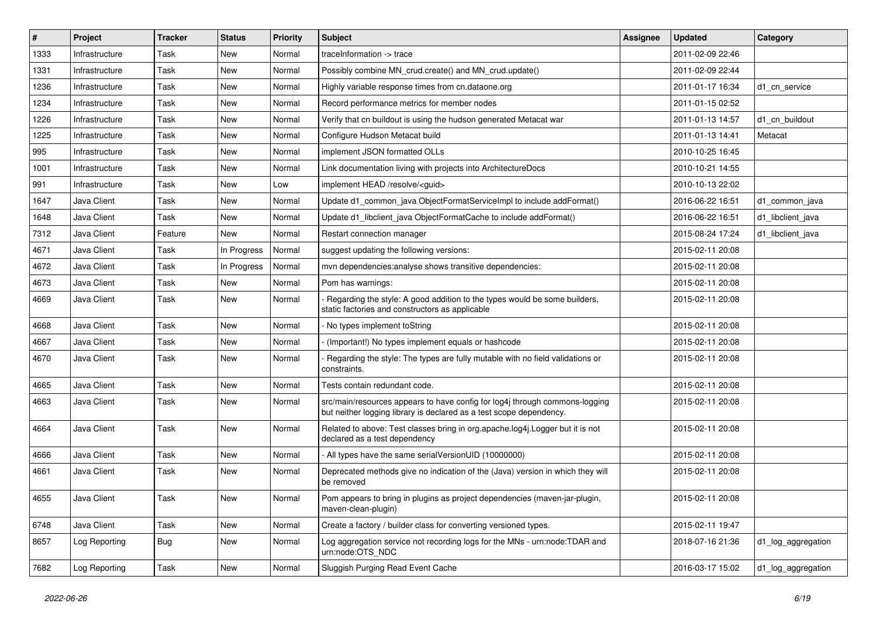| $\vert$ # | Project        | <b>Tracker</b> | <b>Status</b> | Priority | <b>Subject</b>                                                                                                                                     | <b>Assignee</b> | <b>Updated</b>   | Category           |
|-----------|----------------|----------------|---------------|----------|----------------------------------------------------------------------------------------------------------------------------------------------------|-----------------|------------------|--------------------|
| 1333      | Infrastructure | Task           | New           | Normal   | traceInformation -> trace                                                                                                                          |                 | 2011-02-09 22:46 |                    |
| 1331      | Infrastructure | Task           | New           | Normal   | Possibly combine MN crud.create() and MN crud.update()                                                                                             |                 | 2011-02-09 22:44 |                    |
| 1236      | Infrastructure | Task           | New           | Normal   | Highly variable response times from cn.dataone.org                                                                                                 |                 | 2011-01-17 16:34 | d1 cn service      |
| 1234      | Infrastructure | Task           | New           | Normal   | Record performance metrics for member nodes                                                                                                        |                 | 2011-01-15 02:52 |                    |
| 1226      | Infrastructure | Task           | New           | Normal   | Verify that cn buildout is using the hudson generated Metacat war                                                                                  |                 | 2011-01-13 14:57 | d1_cn_buildout     |
| 1225      | Infrastructure | Task           | New           | Normal   | Configure Hudson Metacat build                                                                                                                     |                 | 2011-01-13 14:41 | Metacat            |
| 995       | Infrastructure | Task           | New           | Normal   | implement JSON formatted OLLs                                                                                                                      |                 | 2010-10-25 16:45 |                    |
| 1001      | Infrastructure | Task           | New           | Normal   | Link documentation living with projects into ArchitectureDocs                                                                                      |                 | 2010-10-21 14:55 |                    |
| 991       | Infrastructure | Task           | New           | Low      | implement HEAD /resolve/ <guid></guid>                                                                                                             |                 | 2010-10-13 22:02 |                    |
| 1647      | Java Client    | Task           | New           | Normal   | Update d1_common_java ObjectFormatServiceImpl to include addFormat()                                                                               |                 | 2016-06-22 16:51 | d1 common java     |
| 1648      | Java Client    | Task           | New           | Normal   | Update d1_libclient_java ObjectFormatCache to include addFormat()                                                                                  |                 | 2016-06-22 16:51 | d1 libclient java  |
| 7312      | Java Client    | Feature        | New           | Normal   | Restart connection manager                                                                                                                         |                 | 2015-08-24 17:24 | d1 libclient java  |
| 4671      | Java Client    | Task           | In Progress   | Normal   | suggest updating the following versions:                                                                                                           |                 | 2015-02-11 20:08 |                    |
| 4672      | Java Client    | Task           | In Progress   | Normal   | mvn dependencies: analyse shows transitive dependencies:                                                                                           |                 | 2015-02-11 20:08 |                    |
| 4673      | Java Client    | Task           | New           | Normal   | Pom has warnings:                                                                                                                                  |                 | 2015-02-11 20:08 |                    |
| 4669      | Java Client    | Task           | New           | Normal   | Regarding the style: A good addition to the types would be some builders,<br>static factories and constructors as applicable                       |                 | 2015-02-11 20:08 |                    |
| 4668      | Java Client    | Task           | New           | Normal   | - No types implement toString                                                                                                                      |                 | 2015-02-11 20:08 |                    |
| 4667      | Java Client    | Task           | New           | Normal   | (Important!) No types implement equals or hashcode                                                                                                 |                 | 2015-02-11 20:08 |                    |
| 4670      | Java Client    | Task           | New           | Normal   | Regarding the style: The types are fully mutable with no field validations or<br>constraints.                                                      |                 | 2015-02-11 20:08 |                    |
| 4665      | Java Client    | Task           | New           | Normal   | Tests contain redundant code.                                                                                                                      |                 | 2015-02-11 20:08 |                    |
| 4663      | Java Client    | Task           | New           | Normal   | src/main/resources appears to have config for log4j through commons-logging<br>but neither logging library is declared as a test scope dependency. |                 | 2015-02-11 20:08 |                    |
| 4664      | Java Client    | Task           | New           | Normal   | Related to above: Test classes bring in org.apache.log4j.Logger but it is not<br>declared as a test dependency                                     |                 | 2015-02-11 20:08 |                    |
| 4666      | Java Client    | Task           | New           | Normal   | All types have the same serialVersionUID (10000000)                                                                                                |                 | 2015-02-11 20:08 |                    |
| 4661      | Java Client    | Task           | New           | Normal   | Deprecated methods give no indication of the (Java) version in which they will<br>be removed                                                       |                 | 2015-02-11 20:08 |                    |
| 4655      | Java Client    | Task           | New           | Normal   | Pom appears to bring in plugins as project dependencies (maven-jar-plugin,<br>maven-clean-plugin)                                                  |                 | 2015-02-11 20:08 |                    |
| 6748      | Java Client    | Task           | New           | Normal   | Create a factory / builder class for converting versioned types.                                                                                   |                 | 2015-02-11 19:47 |                    |
| 8657      | Log Reporting  | <b>Bug</b>     | New           | Normal   | Log aggregation service not recording logs for the MNs - urn:node:TDAR and<br>urn:node:OTS_NDC                                                     |                 | 2018-07-16 21:36 | d1_log_aggregation |
| 7682      | Log Reporting  | Task           | New           | Normal   | Sluggish Purging Read Event Cache                                                                                                                  |                 | 2016-03-17 15:02 | d1_log_aggregation |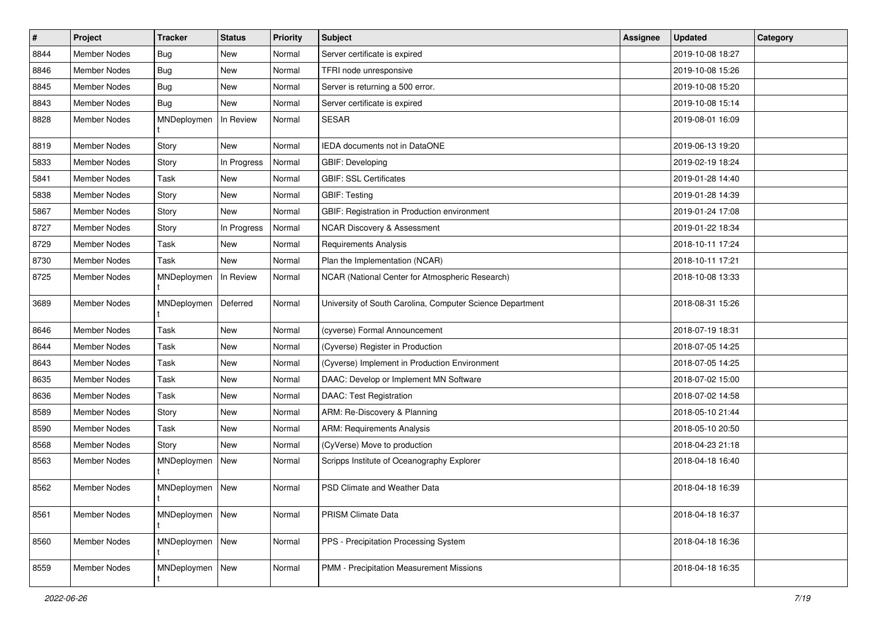| #    | Project             | <b>Tracker</b>  | <b>Status</b> | <b>Priority</b> | <b>Subject</b>                                            | Assignee | <b>Updated</b>   | Category |
|------|---------------------|-----------------|---------------|-----------------|-----------------------------------------------------------|----------|------------------|----------|
| 8844 | <b>Member Nodes</b> | Bug             | New           | Normal          | Server certificate is expired                             |          | 2019-10-08 18:27 |          |
| 8846 | <b>Member Nodes</b> | <b>Bug</b>      | New           | Normal          | TFRI node unresponsive                                    |          | 2019-10-08 15:26 |          |
| 8845 | Member Nodes        | <b>Bug</b>      | New           | Normal          | Server is returning a 500 error.                          |          | 2019-10-08 15:20 |          |
| 8843 | Member Nodes        | <b>Bug</b>      | New           | Normal          | Server certificate is expired                             |          | 2019-10-08 15:14 |          |
| 8828 | Member Nodes        | MNDeploymen     | In Review     | Normal          | <b>SESAR</b>                                              |          | 2019-08-01 16:09 |          |
| 8819 | <b>Member Nodes</b> | Story           | <b>New</b>    | Normal          | IEDA documents not in DataONE                             |          | 2019-06-13 19:20 |          |
| 5833 | <b>Member Nodes</b> | Story           | In Progress   | Normal          | GBIF: Developing                                          |          | 2019-02-19 18:24 |          |
| 5841 | Member Nodes        | Task            | New           | Normal          | <b>GBIF: SSL Certificates</b>                             |          | 2019-01-28 14:40 |          |
| 5838 | <b>Member Nodes</b> | Story           | <b>New</b>    | Normal          | <b>GBIF: Testing</b>                                      |          | 2019-01-28 14:39 |          |
| 5867 | <b>Member Nodes</b> | Story           | New           | Normal          | GBIF: Registration in Production environment              |          | 2019-01-24 17:08 |          |
| 8727 | Member Nodes        | Story           | In Progress   | Normal          | <b>NCAR Discovery &amp; Assessment</b>                    |          | 2019-01-22 18:34 |          |
| 8729 | <b>Member Nodes</b> | Task            | New           | Normal          | <b>Requirements Analysis</b>                              |          | 2018-10-11 17:24 |          |
| 8730 | Member Nodes        | Task            | <b>New</b>    | Normal          | Plan the Implementation (NCAR)                            |          | 2018-10-11 17:21 |          |
| 8725 | Member Nodes        | MNDeploymen     | In Review     | Normal          | NCAR (National Center for Atmospheric Research)           |          | 2018-10-08 13:33 |          |
| 3689 | Member Nodes        | MNDeploymen     | Deferred      | Normal          | University of South Carolina, Computer Science Department |          | 2018-08-31 15:26 |          |
| 8646 | <b>Member Nodes</b> | Task            | New           | Normal          | (cyverse) Formal Announcement                             |          | 2018-07-19 18:31 |          |
| 8644 | Member Nodes        | Task            | New           | Normal          | (Cyverse) Register in Production                          |          | 2018-07-05 14:25 |          |
| 8643 | <b>Member Nodes</b> | Task            | New           | Normal          | (Cyverse) Implement in Production Environment             |          | 2018-07-05 14:25 |          |
| 8635 | Member Nodes        | Task            | New           | Normal          | DAAC: Develop or Implement MN Software                    |          | 2018-07-02 15:00 |          |
| 8636 | <b>Member Nodes</b> | Task            | New           | Normal          | <b>DAAC: Test Registration</b>                            |          | 2018-07-02 14:58 |          |
| 8589 | Member Nodes        | Story           | New           | Normal          | ARM: Re-Discovery & Planning                              |          | 2018-05-10 21:44 |          |
| 8590 | Member Nodes        | Task            | New           | Normal          | <b>ARM: Requirements Analysis</b>                         |          | 2018-05-10 20:50 |          |
| 8568 | <b>Member Nodes</b> | Story           | <b>New</b>    | Normal          | (CyVerse) Move to production                              |          | 2018-04-23 21:18 |          |
| 8563 | Member Nodes        | MNDeploymen     | <b>New</b>    | Normal          | Scripps Institute of Oceanography Explorer                |          | 2018-04-18 16:40 |          |
| 8562 | Member Nodes        | MNDeploymen New |               | Normal          | PSD Climate and Weather Data                              |          | 2018-04-18 16:39 |          |
| 8561 | Member Nodes        | MNDeploymen New |               | Normal          | PRISM Climate Data                                        |          | 2018-04-18 16:37 |          |
| 8560 | Member Nodes        | MNDeploymen New |               | Normal          | PPS - Precipitation Processing System                     |          | 2018-04-18 16:36 |          |
| 8559 | Member Nodes        | MNDeploymen     | New           | Normal          | PMM - Precipitation Measurement Missions                  |          | 2018-04-18 16:35 |          |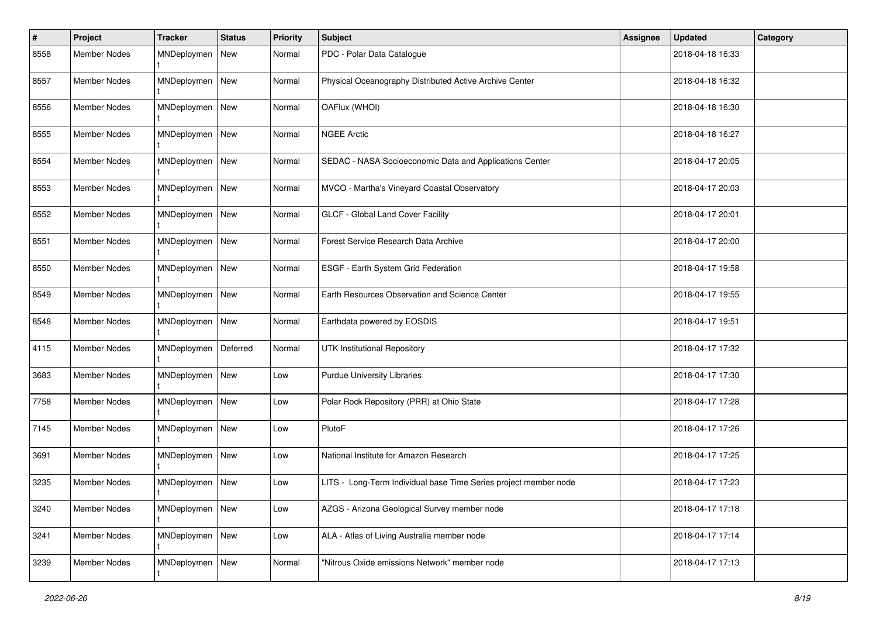| #    | Project             | <b>Tracker</b>  | <b>Status</b> | <b>Priority</b> | Subject                                                          | <b>Assignee</b> | <b>Updated</b>   | Category |
|------|---------------------|-----------------|---------------|-----------------|------------------------------------------------------------------|-----------------|------------------|----------|
| 8558 | Member Nodes        | MNDeploymen     | New           | Normal          | PDC - Polar Data Catalogue                                       |                 | 2018-04-18 16:33 |          |
| 8557 | <b>Member Nodes</b> | MNDeploymen     | New           | Normal          | Physical Oceanography Distributed Active Archive Center          |                 | 2018-04-18 16:32 |          |
| 8556 | <b>Member Nodes</b> | MNDeploymen     | <b>New</b>    | Normal          | OAFlux (WHOI)                                                    |                 | 2018-04-18 16:30 |          |
| 8555 | <b>Member Nodes</b> | MNDeploymen     | New           | Normal          | <b>NGEE Arctic</b>                                               |                 | 2018-04-18 16:27 |          |
| 8554 | Member Nodes        | MNDeploymen     | New           | Normal          | SEDAC - NASA Socioeconomic Data and Applications Center          |                 | 2018-04-17 20:05 |          |
| 8553 | <b>Member Nodes</b> | MNDeploymen     | New           | Normal          | MVCO - Martha's Vineyard Coastal Observatory                     |                 | 2018-04-17 20:03 |          |
| 8552 | <b>Member Nodes</b> | MNDeploymen     | New           | Normal          | GLCF - Global Land Cover Facility                                |                 | 2018-04-17 20:01 |          |
| 8551 | <b>Member Nodes</b> | MNDeploymen     | New           | Normal          | Forest Service Research Data Archive                             |                 | 2018-04-17 20:00 |          |
| 8550 | Member Nodes        | MNDeploymen     | <b>New</b>    | Normal          | ESGF - Earth System Grid Federation                              |                 | 2018-04-17 19:58 |          |
| 8549 | <b>Member Nodes</b> | MNDeploymen     | <b>New</b>    | Normal          | Earth Resources Observation and Science Center                   |                 | 2018-04-17 19:55 |          |
| 8548 | <b>Member Nodes</b> | MNDeploymen New |               | Normal          | Earthdata powered by EOSDIS                                      |                 | 2018-04-17 19:51 |          |
| 4115 | <b>Member Nodes</b> | MNDeploymen     | Deferred      | Normal          | <b>UTK Institutional Repository</b>                              |                 | 2018-04-17 17:32 |          |
| 3683 | <b>Member Nodes</b> | MNDeploymen     | New           | Low             | <b>Purdue University Libraries</b>                               |                 | 2018-04-17 17:30 |          |
| 7758 | <b>Member Nodes</b> | MNDeploymen     | New           | Low             | Polar Rock Repository (PRR) at Ohio State                        |                 | 2018-04-17 17:28 |          |
| 7145 | <b>Member Nodes</b> | MNDeploymen     | New           | Low             | PlutoF                                                           |                 | 2018-04-17 17:26 |          |
| 3691 | Member Nodes        | MNDeploymen     | New           | Low             | National Institute for Amazon Research                           |                 | 2018-04-17 17:25 |          |
| 3235 | <b>Member Nodes</b> | MNDeploymen     | New           | Low             | LITS - Long-Term Individual base Time Series project member node |                 | 2018-04-17 17:23 |          |
| 3240 | Member Nodes        | MNDeploymen     | <b>New</b>    | Low             | AZGS - Arizona Geological Survey member node                     |                 | 2018-04-17 17:18 |          |
| 3241 | Member Nodes        | MNDeploymen     | New           | Low             | ALA - Atlas of Living Australia member node                      |                 | 2018-04-17 17:14 |          |
| 3239 | Member Nodes        | MNDeploymen     | New           | Normal          | "Nitrous Oxide emissions Network" member node                    |                 | 2018-04-17 17:13 |          |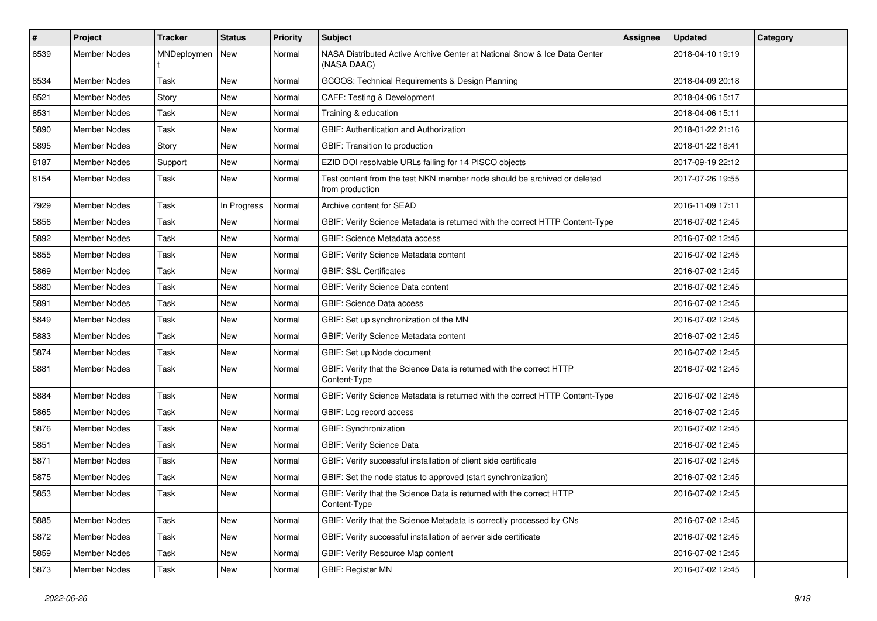| #    | Project             | <b>Tracker</b> | <b>Status</b> | <b>Priority</b> | <b>Subject</b>                                                                              | <b>Assignee</b> | <b>Updated</b>   | Category |
|------|---------------------|----------------|---------------|-----------------|---------------------------------------------------------------------------------------------|-----------------|------------------|----------|
| 8539 | <b>Member Nodes</b> | MNDeploymen    | New           | Normal          | NASA Distributed Active Archive Center at National Snow & Ice Data Center<br>(NASA DAAC)    |                 | 2018-04-10 19:19 |          |
| 8534 | Member Nodes        | Task           | New           | Normal          | GCOOS: Technical Requirements & Design Planning                                             |                 | 2018-04-09 20:18 |          |
| 8521 | <b>Member Nodes</b> | Story          | New           | Normal          | <b>CAFF: Testing &amp; Development</b>                                                      |                 | 2018-04-06 15:17 |          |
| 8531 | <b>Member Nodes</b> | Task           | New           | Normal          | Training & education                                                                        |                 | 2018-04-06 15:11 |          |
| 5890 | <b>Member Nodes</b> | Task           | New           | Normal          | GBIF: Authentication and Authorization                                                      |                 | 2018-01-22 21:16 |          |
| 5895 | <b>Member Nodes</b> | Story          | New           | Normal          | GBIF: Transition to production                                                              |                 | 2018-01-22 18:41 |          |
| 8187 | Member Nodes        | Support        | New           | Normal          | EZID DOI resolvable URLs failing for 14 PISCO objects                                       |                 | 2017-09-19 22:12 |          |
| 8154 | Member Nodes        | Task           | New           | Normal          | Test content from the test NKN member node should be archived or deleted<br>from production |                 | 2017-07-26 19:55 |          |
| 7929 | <b>Member Nodes</b> | Task           | In Progress   | Normal          | Archive content for SEAD                                                                    |                 | 2016-11-09 17:11 |          |
| 5856 | <b>Member Nodes</b> | Task           | New           | Normal          | GBIF: Verify Science Metadata is returned with the correct HTTP Content-Type                |                 | 2016-07-02 12:45 |          |
| 5892 | <b>Member Nodes</b> | Task           | New           | Normal          | GBIF: Science Metadata access                                                               |                 | 2016-07-02 12:45 |          |
| 5855 | <b>Member Nodes</b> | Task           | New           | Normal          | GBIF: Verify Science Metadata content                                                       |                 | 2016-07-02 12:45 |          |
| 5869 | <b>Member Nodes</b> | Task           | New           | Normal          | <b>GBIF: SSL Certificates</b>                                                               |                 | 2016-07-02 12:45 |          |
| 5880 | <b>Member Nodes</b> | Task           | New           | Normal          | GBIF: Verify Science Data content                                                           |                 | 2016-07-02 12:45 |          |
| 5891 | Member Nodes        | Task           | New           | Normal          | <b>GBIF: Science Data access</b>                                                            |                 | 2016-07-02 12:45 |          |
| 5849 | <b>Member Nodes</b> | Task           | New           | Normal          | GBIF: Set up synchronization of the MN                                                      |                 | 2016-07-02 12:45 |          |
| 5883 | <b>Member Nodes</b> | Task           | New           | Normal          | GBIF: Verify Science Metadata content                                                       |                 | 2016-07-02 12:45 |          |
| 5874 | <b>Member Nodes</b> | Task           | New           | Normal          | GBIF: Set up Node document                                                                  |                 | 2016-07-02 12:45 |          |
| 5881 | Member Nodes        | Task           | New           | Normal          | GBIF: Verify that the Science Data is returned with the correct HTTP<br>Content-Type        |                 | 2016-07-02 12:45 |          |
| 5884 | <b>Member Nodes</b> | Task           | New           | Normal          | GBIF: Verify Science Metadata is returned with the correct HTTP Content-Type                |                 | 2016-07-02 12:45 |          |
| 5865 | <b>Member Nodes</b> | Task           | New           | Normal          | GBIF: Log record access                                                                     |                 | 2016-07-02 12:45 |          |
| 5876 | <b>Member Nodes</b> | Task           | New           | Normal          | GBIF: Synchronization                                                                       |                 | 2016-07-02 12:45 |          |
| 5851 | <b>Member Nodes</b> | Task           | New           | Normal          | <b>GBIF: Verify Science Data</b>                                                            |                 | 2016-07-02 12:45 |          |
| 5871 | Member Nodes        | Task           | New           | Normal          | GBIF: Verify successful installation of client side certificate                             |                 | 2016-07-02 12:45 |          |
| 5875 | <b>Member Nodes</b> | Task           | New           | Normal          | GBIF: Set the node status to approved (start synchronization)                               |                 | 2016-07-02 12:45 |          |
| 5853 | Member Nodes        | Task           | New           | Normal          | GBIF: Verify that the Science Data is returned with the correct HTTP<br>Content-Type        |                 | 2016-07-02 12:45 |          |
| 5885 | Member Nodes        | Task           | New           | Normal          | GBIF: Verify that the Science Metadata is correctly processed by CNs                        |                 | 2016-07-02 12:45 |          |
| 5872 | Member Nodes        | Task           | New           | Normal          | GBIF: Verify successful installation of server side certificate                             |                 | 2016-07-02 12:45 |          |
| 5859 | Member Nodes        | Task           | New           | Normal          | GBIF: Verify Resource Map content                                                           |                 | 2016-07-02 12:45 |          |
| 5873 | Member Nodes        | Task           | New           | Normal          | <b>GBIF: Register MN</b>                                                                    |                 | 2016-07-02 12:45 |          |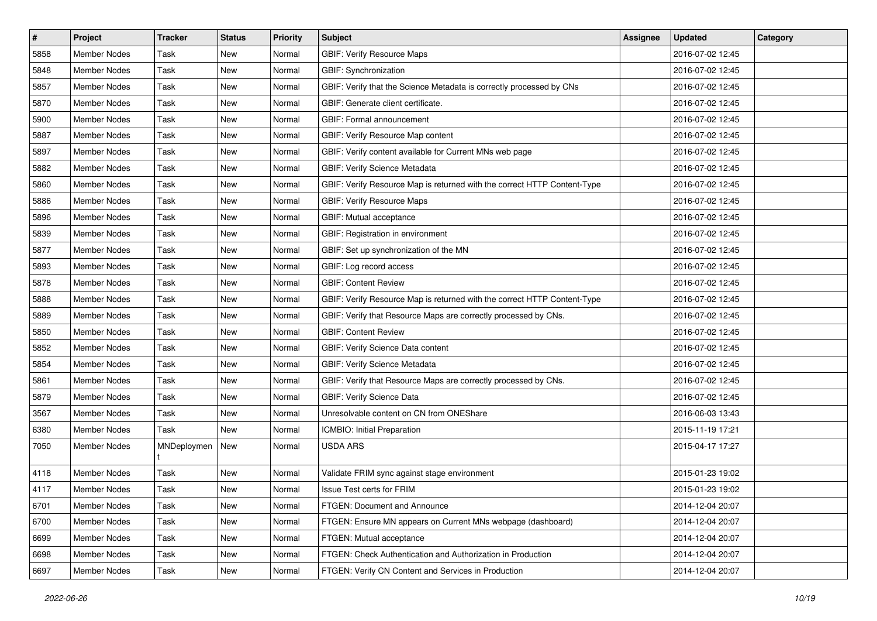| $\vert$ # | Project             | <b>Tracker</b> | <b>Status</b> | <b>Priority</b> | <b>Subject</b>                                                           | <b>Assignee</b> | <b>Updated</b>   | Category |
|-----------|---------------------|----------------|---------------|-----------------|--------------------------------------------------------------------------|-----------------|------------------|----------|
| 5858      | Member Nodes        | Task           | New           | Normal          | <b>GBIF: Verify Resource Maps</b>                                        |                 | 2016-07-02 12:45 |          |
| 5848      | <b>Member Nodes</b> | Task           | <b>New</b>    | Normal          | <b>GBIF:</b> Synchronization                                             |                 | 2016-07-02 12:45 |          |
| 5857      | <b>Member Nodes</b> | Task           | New           | Normal          | GBIF: Verify that the Science Metadata is correctly processed by CNs     |                 | 2016-07-02 12:45 |          |
| 5870      | <b>Member Nodes</b> | Task           | New           | Normal          | GBIF: Generate client certificate.                                       |                 | 2016-07-02 12:45 |          |
| 5900      | Member Nodes        | Task           | New           | Normal          | GBIF: Formal announcement                                                |                 | 2016-07-02 12:45 |          |
| 5887      | <b>Member Nodes</b> | Task           | New           | Normal          | GBIF: Verify Resource Map content                                        |                 | 2016-07-02 12:45 |          |
| 5897      | <b>Member Nodes</b> | Task           | New           | Normal          | GBIF: Verify content available for Current MNs web page                  |                 | 2016-07-02 12:45 |          |
| 5882      | <b>Member Nodes</b> | Task           | New           | Normal          | GBIF: Verify Science Metadata                                            |                 | 2016-07-02 12:45 |          |
| 5860      | <b>Member Nodes</b> | Task           | New           | Normal          | GBIF: Verify Resource Map is returned with the correct HTTP Content-Type |                 | 2016-07-02 12:45 |          |
| 5886      | <b>Member Nodes</b> | Task           | New           | Normal          | <b>GBIF: Verify Resource Maps</b>                                        |                 | 2016-07-02 12:45 |          |
| 5896      | Member Nodes        | Task           | New           | Normal          | GBIF: Mutual acceptance                                                  |                 | 2016-07-02 12:45 |          |
| 5839      | <b>Member Nodes</b> | Task           | New           | Normal          | GBIF: Registration in environment                                        |                 | 2016-07-02 12:45 |          |
| 5877      | <b>Member Nodes</b> | Task           | New           | Normal          | GBIF: Set up synchronization of the MN                                   |                 | 2016-07-02 12:45 |          |
| 5893      | <b>Member Nodes</b> | Task           | New           | Normal          | GBIF: Log record access                                                  |                 | 2016-07-02 12:45 |          |
| 5878      | <b>Member Nodes</b> | Task           | New           | Normal          | <b>GBIF: Content Review</b>                                              |                 | 2016-07-02 12:45 |          |
| 5888      | <b>Member Nodes</b> | Task           | New           | Normal          | GBIF: Verify Resource Map is returned with the correct HTTP Content-Type |                 | 2016-07-02 12:45 |          |
| 5889      | <b>Member Nodes</b> | Task           | New           | Normal          | GBIF: Verify that Resource Maps are correctly processed by CNs.          |                 | 2016-07-02 12:45 |          |
| 5850      | <b>Member Nodes</b> | Task           | <b>New</b>    | Normal          | <b>GBIF: Content Review</b>                                              |                 | 2016-07-02 12:45 |          |
| 5852      | <b>Member Nodes</b> | Task           | New           | Normal          | GBIF: Verify Science Data content                                        |                 | 2016-07-02 12:45 |          |
| 5854      | <b>Member Nodes</b> | Task           | New           | Normal          | GBIF: Verify Science Metadata                                            |                 | 2016-07-02 12:45 |          |
| 5861      | <b>Member Nodes</b> | Task           | New           | Normal          | GBIF: Verify that Resource Maps are correctly processed by CNs.          |                 | 2016-07-02 12:45 |          |
| 5879      | <b>Member Nodes</b> | Task           | New           | Normal          | <b>GBIF: Verify Science Data</b>                                         |                 | 2016-07-02 12:45 |          |
| 3567      | <b>Member Nodes</b> | Task           | New           | Normal          | Unresolvable content on CN from ONEShare                                 |                 | 2016-06-03 13:43 |          |
| 6380      | <b>Member Nodes</b> | Task           | New           | Normal          | ICMBIO: Initial Preparation                                              |                 | 2015-11-19 17:21 |          |
| 7050      | Member Nodes        | MNDeploymen    | New           | Normal          | <b>USDA ARS</b>                                                          |                 | 2015-04-17 17:27 |          |
| 4118      | Member Nodes        | Task           | New           | Normal          | Validate FRIM sync against stage environment                             |                 | 2015-01-23 19:02 |          |
| 4117      | Member Nodes        | Task           | New           | Normal          | Issue Test certs for FRIM                                                |                 | 2015-01-23 19:02 |          |
| 6701      | Member Nodes        | Task           | New           | Normal          | FTGEN: Document and Announce                                             |                 | 2014-12-04 20:07 |          |
| 6700      | Member Nodes        | Task           | New           | Normal          | FTGEN: Ensure MN appears on Current MNs webpage (dashboard)              |                 | 2014-12-04 20:07 |          |
| 6699      | Member Nodes        | Task           | New           | Normal          | FTGEN: Mutual acceptance                                                 |                 | 2014-12-04 20:07 |          |
| 6698      | Member Nodes        | Task           | New           | Normal          | FTGEN: Check Authentication and Authorization in Production              |                 | 2014-12-04 20:07 |          |
| 6697      | Member Nodes        | Task           | New           | Normal          | FTGEN: Verify CN Content and Services in Production                      |                 | 2014-12-04 20:07 |          |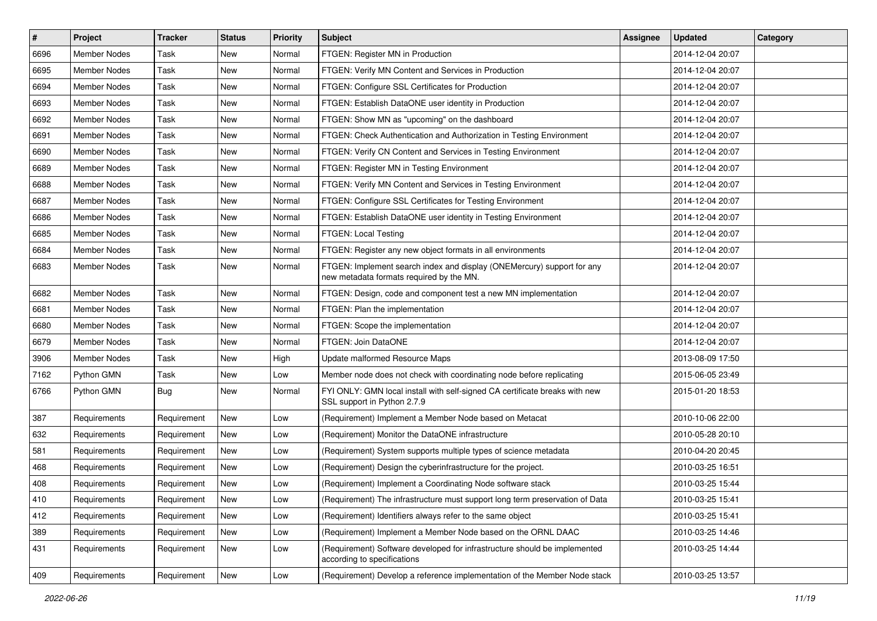| $\vert$ # | Project             | <b>Tracker</b> | <b>Status</b> | <b>Priority</b> | <b>Subject</b>                                                                                                     | <b>Assignee</b> | <b>Updated</b>   | Category |
|-----------|---------------------|----------------|---------------|-----------------|--------------------------------------------------------------------------------------------------------------------|-----------------|------------------|----------|
| 6696      | Member Nodes        | Task           | New           | Normal          | FTGEN: Register MN in Production                                                                                   |                 | 2014-12-04 20:07 |          |
| 6695      | Member Nodes        | Task           | New           | Normal          | FTGEN: Verify MN Content and Services in Production                                                                |                 | 2014-12-04 20:07 |          |
| 6694      | Member Nodes        | Task           | New           | Normal          | FTGEN: Configure SSL Certificates for Production                                                                   |                 | 2014-12-04 20:07 |          |
| 6693      | Member Nodes        | Task           | New           | Normal          | FTGEN: Establish DataONE user identity in Production                                                               |                 | 2014-12-04 20:07 |          |
| 6692      | <b>Member Nodes</b> | Task           | New           | Normal          | FTGEN: Show MN as "upcoming" on the dashboard                                                                      |                 | 2014-12-04 20:07 |          |
| 6691      | <b>Member Nodes</b> | Task           | New           | Normal          | FTGEN: Check Authentication and Authorization in Testing Environment                                               |                 | 2014-12-04 20:07 |          |
| 6690      | <b>Member Nodes</b> | Task           | New           | Normal          | FTGEN: Verify CN Content and Services in Testing Environment                                                       |                 | 2014-12-04 20:07 |          |
| 6689      | Member Nodes        | Task           | New           | Normal          | FTGEN: Register MN in Testing Environment                                                                          |                 | 2014-12-04 20:07 |          |
| 6688      | Member Nodes        | Task           | New           | Normal          | FTGEN: Verify MN Content and Services in Testing Environment                                                       |                 | 2014-12-04 20:07 |          |
| 6687      | Member Nodes        | Task           | New           | Normal          | FTGEN: Configure SSL Certificates for Testing Environment                                                          |                 | 2014-12-04 20:07 |          |
| 6686      | Member Nodes        | Task           | New           | Normal          | FTGEN: Establish DataONE user identity in Testing Environment                                                      |                 | 2014-12-04 20:07 |          |
| 6685      | Member Nodes        | Task           | New           | Normal          | FTGEN: Local Testing                                                                                               |                 | 2014-12-04 20:07 |          |
| 6684      | Member Nodes        | Task           | New           | Normal          | FTGEN: Register any new object formats in all environments                                                         |                 | 2014-12-04 20:07 |          |
| 6683      | Member Nodes        | Task           | New           | Normal          | FTGEN: Implement search index and display (ONEMercury) support for any<br>new metadata formats required by the MN. |                 | 2014-12-04 20:07 |          |
| 6682      | Member Nodes        | Task           | New           | Normal          | FTGEN: Design, code and component test a new MN implementation                                                     |                 | 2014-12-04 20:07 |          |
| 6681      | Member Nodes        | Task           | New           | Normal          | FTGEN: Plan the implementation                                                                                     |                 | 2014-12-04 20:07 |          |
| 6680      | Member Nodes        | Task           | New           | Normal          | FTGEN: Scope the implementation                                                                                    |                 | 2014-12-04 20:07 |          |
| 6679      | Member Nodes        | Task           | New           | Normal          | FTGEN: Join DataONE                                                                                                |                 | 2014-12-04 20:07 |          |
| 3906      | Member Nodes        | Task           | New           | High            | Update malformed Resource Maps                                                                                     |                 | 2013-08-09 17:50 |          |
| 7162      | Python GMN          | Task           | New           | Low             | Member node does not check with coordinating node before replicating                                               |                 | 2015-06-05 23:49 |          |
| 6766      | Python GMN          | Bug            | New           | Normal          | FYI ONLY: GMN local install with self-signed CA certificate breaks with new<br>SSL support in Python 2.7.9         |                 | 2015-01-20 18:53 |          |
| 387       | Requirements        | Requirement    | New           | Low             | (Requirement) Implement a Member Node based on Metacat                                                             |                 | 2010-10-06 22:00 |          |
| 632       | Requirements        | Requirement    | New           | Low             | (Requirement) Monitor the DataONE infrastructure                                                                   |                 | 2010-05-28 20:10 |          |
| 581       | Requirements        | Requirement    | New           | Low             | (Requirement) System supports multiple types of science metadata                                                   |                 | 2010-04-20 20:45 |          |
| 468       | Requirements        | Requirement    | New           | Low             | (Requirement) Design the cyberinfrastructure for the project.                                                      |                 | 2010-03-25 16:51 |          |
| 408       | Requirements        | Requirement    | New           | Low             | (Requirement) Implement a Coordinating Node software stack                                                         |                 | 2010-03-25 15:44 |          |
| 410       | Requirements        | Requirement    | New           | Low             | (Requirement) The infrastructure must support long term preservation of Data                                       |                 | 2010-03-25 15:41 |          |
| 412       | Requirements        | Requirement    | New           | Low             | (Requirement) Identifiers always refer to the same object                                                          |                 | 2010-03-25 15:41 |          |
| 389       | Requirements        | Requirement    | New           | Low             | (Requirement) Implement a Member Node based on the ORNL DAAC                                                       |                 | 2010-03-25 14:46 |          |
| 431       | Requirements        | Requirement    | New           | Low             | (Requirement) Software developed for infrastructure should be implemented<br>according to specifications           |                 | 2010-03-25 14:44 |          |
| 409       | Requirements        | Requirement    | New           | Low             | (Requirement) Develop a reference implementation of the Member Node stack                                          |                 | 2010-03-25 13:57 |          |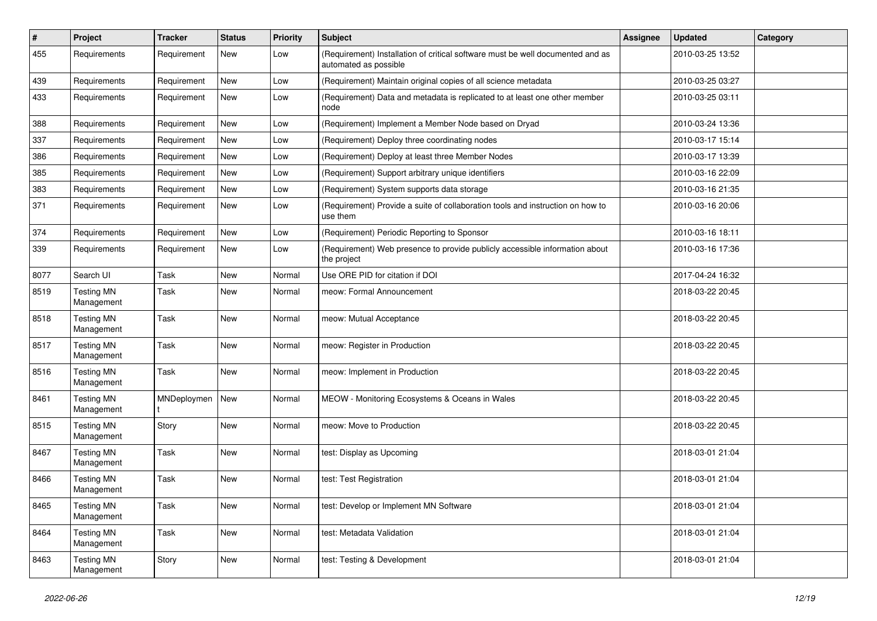| $\sharp$ | Project                         | <b>Tracker</b> | <b>Status</b> | Priority | <b>Subject</b>                                                                                          | <b>Assignee</b> | <b>Updated</b>   | Category |
|----------|---------------------------------|----------------|---------------|----------|---------------------------------------------------------------------------------------------------------|-----------------|------------------|----------|
| 455      | Requirements                    | Requirement    | New           | Low      | (Requirement) Installation of critical software must be well documented and as<br>automated as possible |                 | 2010-03-25 13:52 |          |
| 439      | Requirements                    | Requirement    | <b>New</b>    | Low      | (Requirement) Maintain original copies of all science metadata                                          |                 | 2010-03-25 03:27 |          |
| 433      | Requirements                    | Requirement    | New           | Low      | (Requirement) Data and metadata is replicated to at least one other member<br>node                      |                 | 2010-03-25 03:11 |          |
| 388      | Requirements                    | Requirement    | <b>New</b>    | Low      | (Requirement) Implement a Member Node based on Dryad                                                    |                 | 2010-03-24 13:36 |          |
| 337      | Requirements                    | Requirement    | New           | Low      | (Requirement) Deploy three coordinating nodes                                                           |                 | 2010-03-17 15:14 |          |
| 386      | Requirements                    | Requirement    | New           | Low      | (Requirement) Deploy at least three Member Nodes                                                        |                 | 2010-03-17 13:39 |          |
| 385      | Requirements                    | Requirement    | New           | Low      | (Requirement) Support arbitrary unique identifiers                                                      |                 | 2010-03-16 22:09 |          |
| 383      | Requirements                    | Requirement    | New           | Low      | (Requirement) System supports data storage                                                              |                 | 2010-03-16 21:35 |          |
| 371      | Requirements                    | Requirement    | New           | Low      | (Requirement) Provide a suite of collaboration tools and instruction on how to<br>use them              |                 | 2010-03-16 20:06 |          |
| 374      | Requirements                    | Requirement    | New           | Low      | (Requirement) Periodic Reporting to Sponsor                                                             |                 | 2010-03-16 18:11 |          |
| 339      | Requirements                    | Requirement    | New           | Low      | (Requirement) Web presence to provide publicly accessible information about<br>the project              |                 | 2010-03-16 17:36 |          |
| 8077     | Search UI                       | <b>Task</b>    | New           | Normal   | Use ORE PID for citation if DOI                                                                         |                 | 2017-04-24 16:32 |          |
| 8519     | <b>Testing MN</b><br>Management | Task           | New           | Normal   | meow: Formal Announcement                                                                               |                 | 2018-03-22 20:45 |          |
| 8518     | <b>Testing MN</b><br>Management | Task           | New           | Normal   | meow: Mutual Acceptance                                                                                 |                 | 2018-03-22 20:45 |          |
| 8517     | <b>Testing MN</b><br>Management | <b>Task</b>    | New           | Normal   | meow: Register in Production                                                                            |                 | 2018-03-22 20:45 |          |
| 8516     | <b>Testing MN</b><br>Management | <b>Task</b>    | New           | Normal   | meow: Implement in Production                                                                           |                 | 2018-03-22 20:45 |          |
| 8461     | <b>Testing MN</b><br>Management | MNDeploymen    | New           | Normal   | MEOW - Monitoring Ecosystems & Oceans in Wales                                                          |                 | 2018-03-22 20:45 |          |
| 8515     | <b>Testing MN</b><br>Management | Story          | New           | Normal   | meow: Move to Production                                                                                |                 | 2018-03-22 20:45 |          |
| 8467     | <b>Testing MN</b><br>Management | Task           | <b>New</b>    | Normal   | test: Display as Upcoming                                                                               |                 | 2018-03-01 21:04 |          |
| 8466     | <b>Testing MN</b><br>Management | Task           | New           | Normal   | test: Test Registration                                                                                 |                 | 2018-03-01 21:04 |          |
| 8465     | <b>Testing MN</b><br>Management | Task           | New           | Normal   | test: Develop or Implement MN Software                                                                  |                 | 2018-03-01 21:04 |          |
| 8464     | <b>Testing MN</b><br>Management | Task           | New           | Normal   | test: Metadata Validation                                                                               |                 | 2018-03-01 21:04 |          |
| 8463     | <b>Testing MN</b><br>Management | Story          | New           | Normal   | test: Testing & Development                                                                             |                 | 2018-03-01 21:04 |          |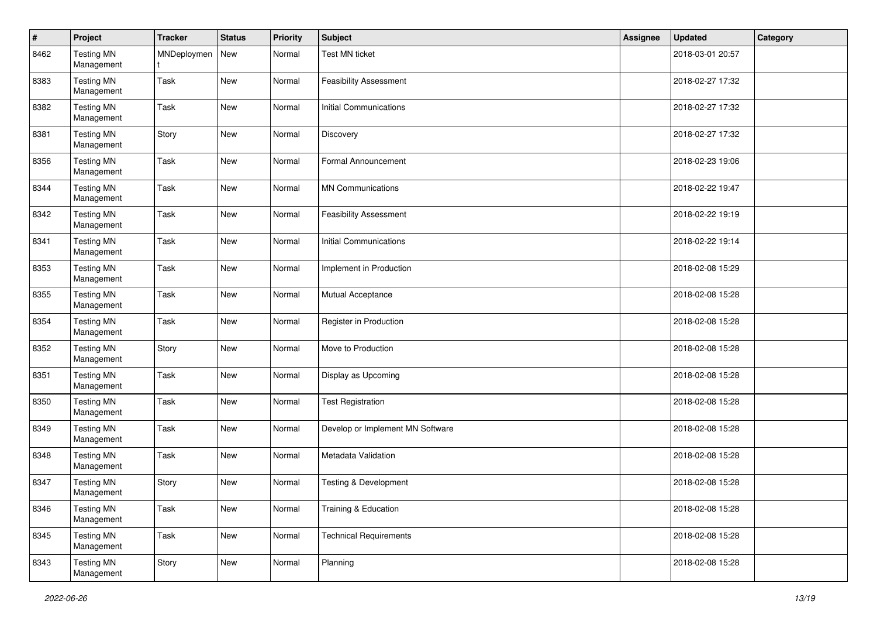| $\pmb{\#}$ | Project                         | <b>Tracker</b> | <b>Status</b> | Priority | <b>Subject</b>                   | Assignee | Updated          | Category |
|------------|---------------------------------|----------------|---------------|----------|----------------------------------|----------|------------------|----------|
| 8462       | <b>Testing MN</b><br>Management | MNDeploymen    | <b>New</b>    | Normal   | <b>Test MN ticket</b>            |          | 2018-03-01 20:57 |          |
| 8383       | <b>Testing MN</b><br>Management | Task           | New           | Normal   | <b>Feasibility Assessment</b>    |          | 2018-02-27 17:32 |          |
| 8382       | <b>Testing MN</b><br>Management | Task           | New           | Normal   | <b>Initial Communications</b>    |          | 2018-02-27 17:32 |          |
| 8381       | <b>Testing MN</b><br>Management | Story          | New           | Normal   | Discovery                        |          | 2018-02-27 17:32 |          |
| 8356       | <b>Testing MN</b><br>Management | Task           | New           | Normal   | Formal Announcement              |          | 2018-02-23 19:06 |          |
| 8344       | <b>Testing MN</b><br>Management | Task           | New           | Normal   | <b>MN Communications</b>         |          | 2018-02-22 19:47 |          |
| 8342       | <b>Testing MN</b><br>Management | Task           | New           | Normal   | <b>Feasibility Assessment</b>    |          | 2018-02-22 19:19 |          |
| 8341       | <b>Testing MN</b><br>Management | Task           | New           | Normal   | Initial Communications           |          | 2018-02-22 19:14 |          |
| 8353       | <b>Testing MN</b><br>Management | Task           | New           | Normal   | Implement in Production          |          | 2018-02-08 15:29 |          |
| 8355       | <b>Testing MN</b><br>Management | Task           | New           | Normal   | Mutual Acceptance                |          | 2018-02-08 15:28 |          |
| 8354       | <b>Testing MN</b><br>Management | Task           | New           | Normal   | Register in Production           |          | 2018-02-08 15:28 |          |
| 8352       | <b>Testing MN</b><br>Management | Story          | New           | Normal   | Move to Production               |          | 2018-02-08 15:28 |          |
| 8351       | <b>Testing MN</b><br>Management | Task           | New           | Normal   | Display as Upcoming              |          | 2018-02-08 15:28 |          |
| 8350       | <b>Testing MN</b><br>Management | Task           | New           | Normal   | <b>Test Registration</b>         |          | 2018-02-08 15:28 |          |
| 8349       | <b>Testing MN</b><br>Management | Task           | New           | Normal   | Develop or Implement MN Software |          | 2018-02-08 15:28 |          |
| 8348       | <b>Testing MN</b><br>Management | Task           | New           | Normal   | Metadata Validation              |          | 2018-02-08 15:28 |          |
| 8347       | <b>Testing MN</b><br>Management | Story          | New           | Normal   | Testing & Development            |          | 2018-02-08 15:28 |          |
| 8346       | <b>Testing MN</b><br>Management | Task           | New           | Normal   | Training & Education             |          | 2018-02-08 15:28 |          |
| 8345       | <b>Testing MN</b><br>Management | Task           | New           | Normal   | <b>Technical Requirements</b>    |          | 2018-02-08 15:28 |          |
| 8343       | <b>Testing MN</b><br>Management | Story          | New           | Normal   | Planning                         |          | 2018-02-08 15:28 |          |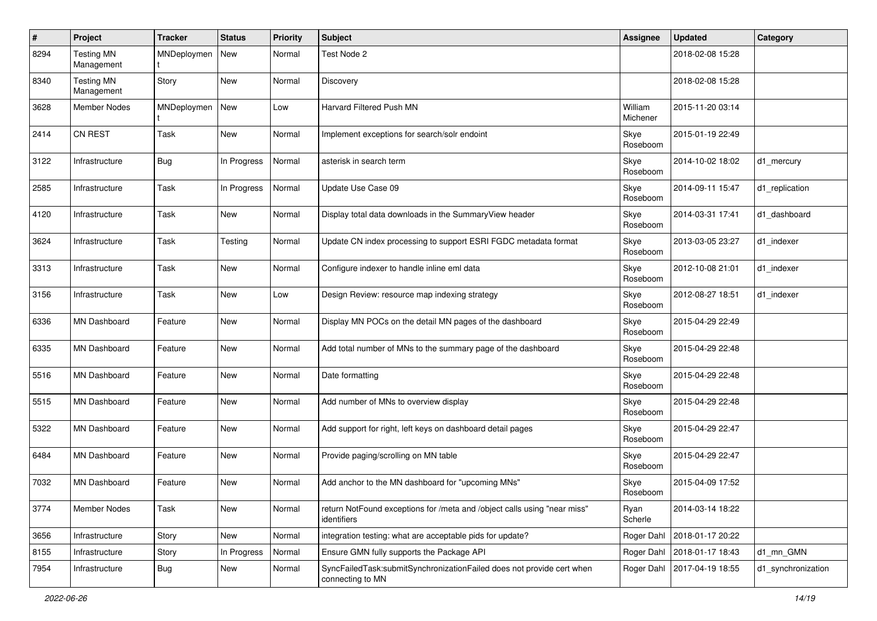| #    | Project                         | <b>Tracker</b> | <b>Status</b> | <b>Priority</b> | Subject                                                                                   | <b>Assignee</b>     | <b>Updated</b>   | Category           |
|------|---------------------------------|----------------|---------------|-----------------|-------------------------------------------------------------------------------------------|---------------------|------------------|--------------------|
| 8294 | <b>Testing MN</b><br>Management | MNDeploymen    | New           | Normal          | Test Node 2                                                                               |                     | 2018-02-08 15:28 |                    |
| 8340 | <b>Testing MN</b><br>Management | Story          | New           | Normal          | Discovery                                                                                 |                     | 2018-02-08 15:28 |                    |
| 3628 | <b>Member Nodes</b>             | MNDeploymen    | New           | Low             | Harvard Filtered Push MN                                                                  | William<br>Michener | 2015-11-20 03:14 |                    |
| 2414 | CN REST                         | Task           | New           | Normal          | Implement exceptions for search/solr endoint                                              | Skye<br>Roseboom    | 2015-01-19 22:49 |                    |
| 3122 | Infrastructure                  | <b>Bug</b>     | In Progress   | Normal          | asterisk in search term                                                                   | Skye<br>Roseboom    | 2014-10-02 18:02 | d1_mercury         |
| 2585 | Infrastructure                  | Task           | In Progress   | Normal          | Update Use Case 09                                                                        | Skye<br>Roseboom    | 2014-09-11 15:47 | d1_replication     |
| 4120 | Infrastructure                  | Task           | New           | Normal          | Display total data downloads in the SummaryView header                                    | Skye<br>Roseboom    | 2014-03-31 17:41 | d1_dashboard       |
| 3624 | Infrastructure                  | Task           | Testing       | Normal          | Update CN index processing to support ESRI FGDC metadata format                           | Skye<br>Roseboom    | 2013-03-05 23:27 | d1_indexer         |
| 3313 | Infrastructure                  | Task           | New           | Normal          | Configure indexer to handle inline eml data                                               | Skye<br>Roseboom    | 2012-10-08 21:01 | d1 indexer         |
| 3156 | Infrastructure                  | Task           | New           | Low             | Design Review: resource map indexing strategy                                             | Skye<br>Roseboom    | 2012-08-27 18:51 | d1 indexer         |
| 6336 | <b>MN Dashboard</b>             | Feature        | New           | Normal          | Display MN POCs on the detail MN pages of the dashboard                                   | Skye<br>Roseboom    | 2015-04-29 22:49 |                    |
| 6335 | <b>MN Dashboard</b>             | Feature        | New           | Normal          | Add total number of MNs to the summary page of the dashboard                              | Skye<br>Roseboom    | 2015-04-29 22:48 |                    |
| 5516 | <b>MN Dashboard</b>             | Feature        | New           | Normal          | Date formatting                                                                           | Skye<br>Roseboom    | 2015-04-29 22:48 |                    |
| 5515 | <b>MN Dashboard</b>             | Feature        | New           | Normal          | Add number of MNs to overview display                                                     | Skye<br>Roseboom    | 2015-04-29 22:48 |                    |
| 5322 | <b>MN Dashboard</b>             | Feature        | New           | Normal          | Add support for right, left keys on dashboard detail pages                                | Skye<br>Roseboom    | 2015-04-29 22:47 |                    |
| 6484 | MN Dashboard                    | Feature        | New           | Normal          | Provide paging/scrolling on MN table                                                      | Skye<br>Roseboom    | 2015-04-29 22:47 |                    |
| 7032 | <b>MN Dashboard</b>             | Feature        | New           | Normal          | Add anchor to the MN dashboard for "upcoming MNs"                                         | Skye<br>Roseboom    | 2015-04-09 17:52 |                    |
| 3774 | Member Nodes                    | Task           | New           | Normal          | return NotFound exceptions for /meta and /object calls using "near miss"<br>identifiers   | Ryan<br>Scherle     | 2014-03-14 18:22 |                    |
| 3656 | Infrastructure                  | Story          | New           | Normal          | integration testing: what are acceptable pids for update?                                 | Roger Dahl          | 2018-01-17 20:22 |                    |
| 8155 | Infrastructure                  | Story          | In Progress   | Normal          | Ensure GMN fully supports the Package API                                                 | Roger Dahl          | 2018-01-17 18:43 | d1_mn_GMN          |
| 7954 | Infrastructure                  | Bug            | New           | Normal          | SyncFailedTask:submitSynchronizationFailed does not provide cert when<br>connecting to MN | Roger Dahl          | 2017-04-19 18:55 | d1_synchronization |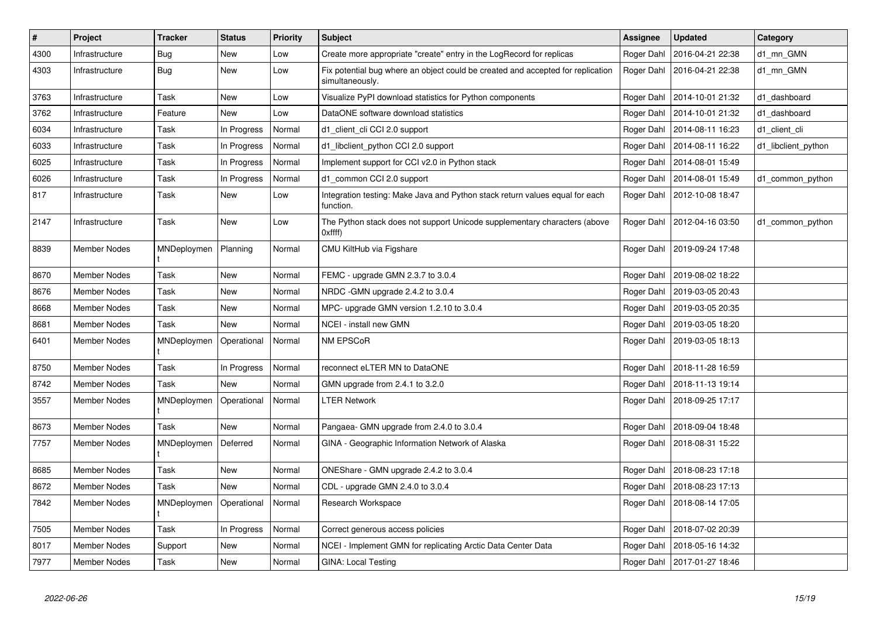| $\sharp$ | Project             | <b>Tracker</b> | <b>Status</b> | <b>Priority</b> | <b>Subject</b>                                                                                     | <b>Assignee</b> | <b>Updated</b>   | Category            |
|----------|---------------------|----------------|---------------|-----------------|----------------------------------------------------------------------------------------------------|-----------------|------------------|---------------------|
| 4300     | Infrastructure      | Bug            | New           | Low             | Create more appropriate "create" entry in the LogRecord for replicas                               | Roger Dahl      | 2016-04-21 22:38 | d1 mn GMN           |
| 4303     | Infrastructure      | <b>Bug</b>     | New           | Low             | Fix potential bug where an object could be created and accepted for replication<br>simultaneously. | Roger Dahl      | 2016-04-21 22:38 | d1_mn_GMN           |
| 3763     | Infrastructure      | Task           | New           | Low             | Visualize PyPI download statistics for Python components                                           | Roger Dahl      | 2014-10-01 21:32 | d1_dashboard        |
| 3762     | Infrastructure      | Feature        | New           | Low             | DataONE software download statistics                                                               | Roger Dahl      | 2014-10-01 21:32 | d1 dashboard        |
| 6034     | Infrastructure      | Task           | In Progress   | Normal          | d1 client cli CCI 2.0 support                                                                      | Roger Dahl      | 2014-08-11 16:23 | d1_client_cli       |
| 6033     | Infrastructure      | Task           | In Progress   | Normal          | d1_libclient_python CCI 2.0 support                                                                | Roger Dahl      | 2014-08-11 16:22 | d1_libclient_python |
| 6025     | Infrastructure      | Task           | In Progress   | Normal          | Implement support for CCI v2.0 in Python stack                                                     | Roger Dahl      | 2014-08-01 15:49 |                     |
| 6026     | Infrastructure      | Task           | In Progress   | Normal          | d1 common CCI 2.0 support                                                                          | Roger Dahl      | 2014-08-01 15:49 | d1 common python    |
| 817      | Infrastructure      | Task           | New           | Low             | Integration testing: Make Java and Python stack return values equal for each<br>function.          | Roger Dahl      | 2012-10-08 18:47 |                     |
| 2147     | Infrastructure      | Task           | New           | Low             | The Python stack does not support Unicode supplementary characters (above<br>Oxffff                | Roger Dahl      | 2012-04-16 03:50 | d1_common_python    |
| 8839     | <b>Member Nodes</b> | MNDeploymen    | Planning      | Normal          | CMU KiltHub via Figshare                                                                           | Roger Dahl      | 2019-09-24 17:48 |                     |
| 8670     | <b>Member Nodes</b> | Task           | New           | Normal          | FEMC - upgrade GMN 2.3.7 to 3.0.4                                                                  | Roger Dahl      | 2019-08-02 18:22 |                     |
| 8676     | <b>Member Nodes</b> | Task           | New           | Normal          | NRDC -GMN upgrade 2.4.2 to 3.0.4                                                                   | Roger Dahl      | 2019-03-05 20:43 |                     |
| 8668     | <b>Member Nodes</b> | Task           | New           | Normal          | MPC- upgrade GMN version 1.2.10 to 3.0.4                                                           | Roger Dahl      | 2019-03-05 20:35 |                     |
| 8681     | <b>Member Nodes</b> | Task           | <b>New</b>    | Normal          | NCEI - install new GMN                                                                             | Roger Dahl      | 2019-03-05 18:20 |                     |
| 6401     | Member Nodes        | MNDeploymen    | Operational   | Normal          | NM EPSCoR                                                                                          | Roger Dahl      | 2019-03-05 18:13 |                     |
| 8750     | <b>Member Nodes</b> | Task           | In Progress   | Normal          | reconnect eLTER MN to DataONE                                                                      | Roger Dahl      | 2018-11-28 16:59 |                     |
| 8742     | <b>Member Nodes</b> | Task           | New           | Normal          | GMN upgrade from 2.4.1 to 3.2.0                                                                    | Roger Dahl      | 2018-11-13 19:14 |                     |
| 3557     | Member Nodes        | MNDeploymen    | Operational   | Normal          | <b>LTER Network</b>                                                                                | Roger Dahl      | 2018-09-25 17:17 |                     |
| 8673     | Member Nodes        | Task           | New           | Normal          | Pangaea- GMN upgrade from 2.4.0 to 3.0.4                                                           | Roger Dahl      | 2018-09-04 18:48 |                     |
| 7757     | Member Nodes        | MNDeploymen    | Deferred      | Normal          | GINA - Geographic Information Network of Alaska                                                    | Roger Dahl      | 2018-08-31 15:22 |                     |
| 8685     | <b>Member Nodes</b> | Task           | New           | Normal          | ONEShare - GMN upgrade 2.4.2 to 3.0.4                                                              | Roger Dahl      | 2018-08-23 17:18 |                     |
| 8672     | <b>Member Nodes</b> | Task           | New           | Normal          | CDL - upgrade GMN 2.4.0 to 3.0.4                                                                   | Roger Dahl      | 2018-08-23 17:13 |                     |
| 7842     | Member Nodes        | MNDeploymen    | Operational   | Normal          | Research Workspace                                                                                 | Roger Dahl      | 2018-08-14 17:05 |                     |
| 7505     | Member Nodes        | Task           | In Progress   | Normal          | Correct generous access policies                                                                   | Roger Dahl      | 2018-07-02 20:39 |                     |
| 8017     | <b>Member Nodes</b> | Support        | New           | Normal          | NCEI - Implement GMN for replicating Arctic Data Center Data                                       | Roger Dahl      | 2018-05-16 14:32 |                     |
| 7977     | Member Nodes        | Task           | New           | Normal          | <b>GINA: Local Testing</b>                                                                         | Roger Dahl      | 2017-01-27 18:46 |                     |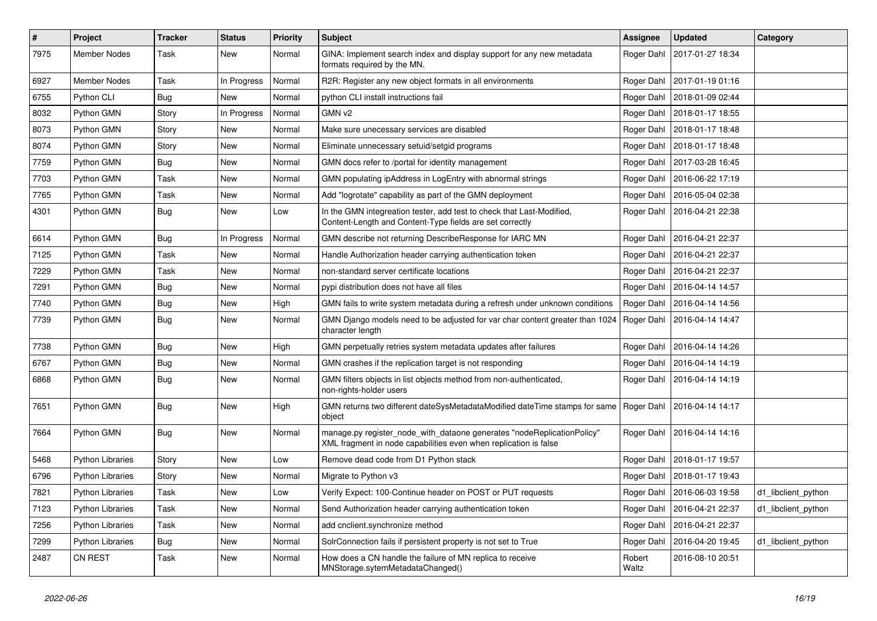| $\vert$ # | Project                 | <b>Tracker</b> | <b>Status</b> | <b>Priority</b> | <b>Subject</b>                                                                                                                             | <b>Assignee</b> | <b>Updated</b>                | Category            |
|-----------|-------------------------|----------------|---------------|-----------------|--------------------------------------------------------------------------------------------------------------------------------------------|-----------------|-------------------------------|---------------------|
| 7975      | Member Nodes            | Task           | New           | Normal          | GINA: Implement search index and display support for any new metadata<br>formats required by the MN.                                       | Roger Dahl      | 2017-01-27 18:34              |                     |
| 6927      | Member Nodes            | Task           | In Progress   | Normal          | R2R: Register any new object formats in all environments                                                                                   | Roger Dahl      | 2017-01-19 01:16              |                     |
| 6755      | Python CLI              | Bug            | New           | Normal          | python CLI install instructions fail                                                                                                       | Roger Dahl      | 2018-01-09 02:44              |                     |
| 8032      | Python GMN              | Story          | In Progress   | Normal          | GMN v <sub>2</sub>                                                                                                                         | Roger Dahl      | 2018-01-17 18:55              |                     |
| 8073      | Python GMN              | Story          | New           | Normal          | Make sure unecessary services are disabled                                                                                                 | Roger Dahl      | 2018-01-17 18:48              |                     |
| 8074      | Python GMN              | Story          | New           | Normal          | Eliminate unnecessary setuid/setgid programs                                                                                               | Roger Dahl      | 2018-01-17 18:48              |                     |
| 7759      | Python GMN              | Bug            | New           | Normal          | GMN docs refer to /portal for identity management                                                                                          | Roger Dahl      | 2017-03-28 16:45              |                     |
| 7703      | Python GMN              | Task           | New           | Normal          | GMN populating ipAddress in LogEntry with abnormal strings                                                                                 | Roger Dahl      | 2016-06-22 17:19              |                     |
| 7765      | Python GMN              | Task           | New           | Normal          | Add "logrotate" capability as part of the GMN deployment                                                                                   | Roger Dahl      | 2016-05-04 02:38              |                     |
| 4301      | Python GMN              | <b>Bug</b>     | New           | Low             | In the GMN integreation tester, add test to check that Last-Modified,<br>Content-Length and Content-Type fields are set correctly          | Roger Dahl      | 2016-04-21 22:38              |                     |
| 6614      | Python GMN              | <b>Bug</b>     | In Progress   | Normal          | GMN describe not returning DescribeResponse for IARC MN                                                                                    | Roger Dahl      | 2016-04-21 22:37              |                     |
| 7125      | Python GMN              | Task           | New           | Normal          | Handle Authorization header carrying authentication token                                                                                  | Roger Dahl      | 2016-04-21 22:37              |                     |
| 7229      | Python GMN              | Task           | New           | Normal          | non-standard server certificate locations                                                                                                  | Roger Dahl      | 2016-04-21 22:37              |                     |
| 7291      | Python GMN              | Bug            | New           | Normal          | pypi distribution does not have all files                                                                                                  | Roger Dahl      | 2016-04-14 14:57              |                     |
| 7740      | Python GMN              | Bug            | New           | High            | GMN fails to write system metadata during a refresh under unknown conditions                                                               | Roger Dahl      | 2016-04-14 14:56              |                     |
| 7739      | Python GMN              | <b>Bug</b>     | New           | Normal          | GMN Django models need to be adjusted for var char content greater than 1024<br>character length                                           | Roger Dahl      | 2016-04-14 14:47              |                     |
| 7738      | Python GMN              | <b>Bug</b>     | New           | High            | GMN perpetually retries system metadata updates after failures                                                                             | Roger Dahl      | 2016-04-14 14:26              |                     |
| 6767      | Python GMN              | <b>Bug</b>     | New           | Normal          | GMN crashes if the replication target is not responding                                                                                    | Roger Dahl      | 2016-04-14 14:19              |                     |
| 6868      | Python GMN              | Bug            | New           | Normal          | GMN filters objects in list objects method from non-authenticated,<br>non-rights-holder users                                              | Roger Dahl      | 2016-04-14 14:19              |                     |
| 7651      | Python GMN              | <b>Bug</b>     | New           | High            | GMN returns two different dateSysMetadataModified dateTime stamps for same   Roger Dahl<br>object                                          |                 | 2016-04-14 14:17              |                     |
| 7664      | Python GMN              | <b>Bug</b>     | New           | Normal          | manage.py register_node_with_dataone generates "nodeReplicationPolicy"<br>XML fragment in node capabilities even when replication is false | Roger Dahl      | 2016-04-14 14:16              |                     |
| 5468      | <b>Python Libraries</b> | Story          | New           | Low             | Remove dead code from D1 Python stack                                                                                                      | Roger Dahl      | 2018-01-17 19:57              |                     |
| 6796      | <b>Python Libraries</b> | Story          | New           | Normal          | Migrate to Python v3                                                                                                                       | Roger Dahl      | 2018-01-17 19:43              |                     |
| 7821      | <b>Python Libraries</b> | Task           | New           | Low             | Verify Expect: 100-Continue header on POST or PUT requests                                                                                 |                 | Roger Dahl   2016-06-03 19:58 | d1_libclient_python |
| 7123      | <b>Python Libraries</b> | Task           | New           | Normal          | Send Authorization header carrying authentication token                                                                                    | Roger Dahl      | 2016-04-21 22:37              | d1_libclient_python |
| 7256      | <b>Python Libraries</b> | Task           | New           | Normal          | add cnclient.synchronize method                                                                                                            | Roger Dahl      | 2016-04-21 22:37              |                     |
| 7299      | <b>Python Libraries</b> | <b>Bug</b>     | New           | Normal          | SolrConnection fails if persistent property is not set to True                                                                             | Roger Dahl      | 2016-04-20 19:45              | d1_libclient_python |
| 2487      | CN REST                 | Task           | New           | Normal          | How does a CN handle the failure of MN replica to receive<br>MNStorage.sytemMetadataChanged()                                              | Robert<br>Waltz | 2016-08-10 20:51              |                     |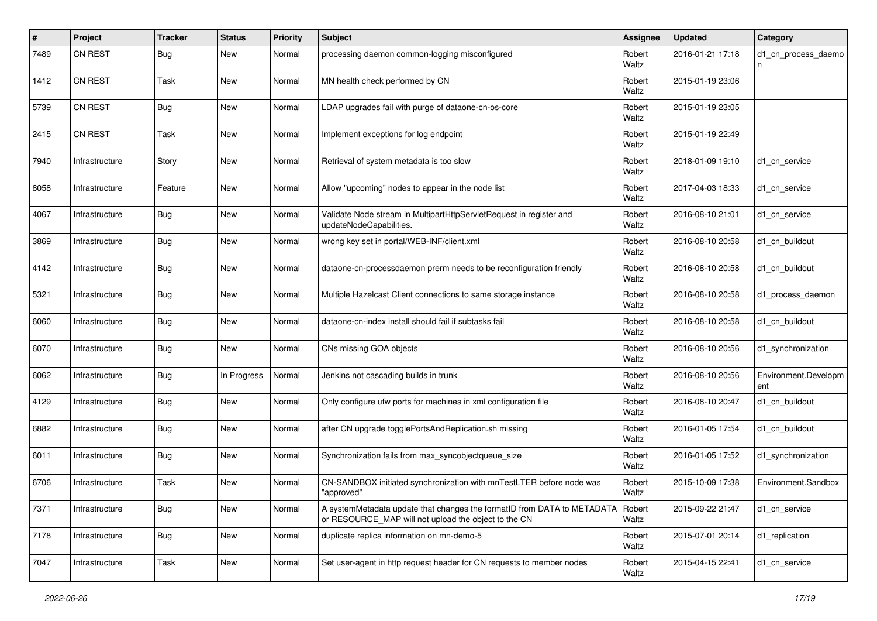| #    | Project        | <b>Tracker</b> | <b>Status</b> | <b>Priority</b> | <b>Subject</b>                                                                                                                           | <b>Assignee</b> | <b>Updated</b>   | Category                    |
|------|----------------|----------------|---------------|-----------------|------------------------------------------------------------------------------------------------------------------------------------------|-----------------|------------------|-----------------------------|
| 7489 | <b>CN REST</b> | <b>Bug</b>     | New           | Normal          | processing daemon common-logging misconfigured                                                                                           | Robert<br>Waltz | 2016-01-21 17:18 | d1 cn process daemo<br>n    |
| 1412 | <b>CN REST</b> | Task           | New           | Normal          | MN health check performed by CN                                                                                                          | Robert<br>Waltz | 2015-01-19 23:06 |                             |
| 5739 | <b>CN REST</b> | <b>Bug</b>     | New           | Normal          | LDAP upgrades fail with purge of dataone-cn-os-core                                                                                      | Robert<br>Waltz | 2015-01-19 23:05 |                             |
| 2415 | <b>CN REST</b> | Task           | New           | Normal          | Implement exceptions for log endpoint                                                                                                    | Robert<br>Waltz | 2015-01-19 22:49 |                             |
| 7940 | Infrastructure | Story          | New           | Normal          | Retrieval of system metadata is too slow                                                                                                 | Robert<br>Waltz | 2018-01-09 19:10 | d1 cn service               |
| 8058 | Infrastructure | Feature        | New           | Normal          | Allow "upcoming" nodes to appear in the node list                                                                                        | Robert<br>Waltz | 2017-04-03 18:33 | d1 cn service               |
| 4067 | Infrastructure | <b>Bug</b>     | New           | Normal          | Validate Node stream in MultipartHttpServletRequest in register and<br>updateNodeCapabilities.                                           | Robert<br>Waltz | 2016-08-10 21:01 | d1 cn service               |
| 3869 | Infrastructure | Bug            | New           | Normal          | wrong key set in portal/WEB-INF/client.xml                                                                                               | Robert<br>Waltz | 2016-08-10 20:58 | d1_cn_buildout              |
| 4142 | Infrastructure | <b>Bug</b>     | New           | Normal          | dataone-cn-processdaemon prerm needs to be reconfiguration friendly                                                                      | Robert<br>Waltz | 2016-08-10 20:58 | d1 cn buildout              |
| 5321 | Infrastructure | <b>Bug</b>     | New           | Normal          | Multiple Hazelcast Client connections to same storage instance                                                                           | Robert<br>Waltz | 2016-08-10 20:58 | d1_process_daemon           |
| 6060 | Infrastructure | Bug            | New           | Normal          | dataone-cn-index install should fail if subtasks fail                                                                                    | Robert<br>Waltz | 2016-08-10 20:58 | d1 cn buildout              |
| 6070 | Infrastructure | <b>Bug</b>     | New           | Normal          | CNs missing GOA objects                                                                                                                  | Robert<br>Waltz | 2016-08-10 20:56 | d1_synchronization          |
| 6062 | Infrastructure | <b>Bug</b>     | In Progress   | Normal          | Jenkins not cascading builds in trunk                                                                                                    | Robert<br>Waltz | 2016-08-10 20:56 | Environment.Developm<br>ent |
| 4129 | Infrastructure | <b>Bug</b>     | New           | Normal          | Only configure ufw ports for machines in xml configuration file                                                                          | Robert<br>Waltz | 2016-08-10 20:47 | d1 cn buildout              |
| 6882 | Infrastructure | <b>Bug</b>     | New           | Normal          | after CN upgrade togglePortsAndReplication.sh missing                                                                                    | Robert<br>Waltz | 2016-01-05 17:54 | d1 cn buildout              |
| 6011 | Infrastructure | <b>Bug</b>     | New           | Normal          | Synchronization fails from max_syncobjectqueue_size                                                                                      | Robert<br>Waltz | 2016-01-05 17:52 | d1_synchronization          |
| 6706 | Infrastructure | Task           | New           | Normal          | CN-SANDBOX initiated synchronization with mnTestLTER before node was<br>"approved"                                                       | Robert<br>Waltz | 2015-10-09 17:38 | Environment.Sandbox         |
| 7371 | Infrastructure | Bug            | New           | Normal          | A systemMetadata update that changes the formatID from DATA to METADATA   Robert<br>or RESOURCE_MAP will not upload the object to the CN | Waltz           | 2015-09-22 21:47 | d1 cn service               |
| 7178 | Infrastructure | <b>Bug</b>     | New           | Normal          | duplicate replica information on mn-demo-5                                                                                               | Robert<br>Waltz | 2015-07-01 20:14 | d1_replication              |
| 7047 | Infrastructure | Task           | New           | Normal          | Set user-agent in http request header for CN requests to member nodes                                                                    | Robert<br>Waltz | 2015-04-15 22:41 | d1_cn_service               |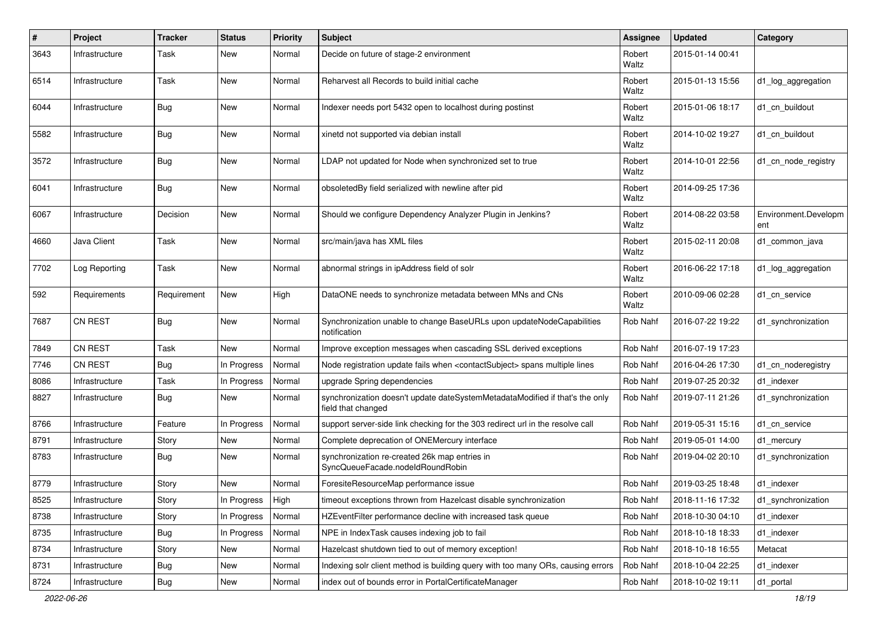| $\sharp$ | Project        | <b>Tracker</b> | Status             | Priority | <b>Subject</b>                                                                                     | <b>Assignee</b> | <b>Updated</b>   | Category                    |
|----------|----------------|----------------|--------------------|----------|----------------------------------------------------------------------------------------------------|-----------------|------------------|-----------------------------|
| 3643     | Infrastructure | Task           | New                | Normal   | Decide on future of stage-2 environment                                                            | Robert<br>Waltz | 2015-01-14 00:41 |                             |
| 6514     | Infrastructure | Task           | New                | Normal   | Reharvest all Records to build initial cache                                                       | Robert<br>Waltz | 2015-01-13 15:56 | d1_log_aggregation          |
| 6044     | Infrastructure | <b>Bug</b>     | New                | Normal   | Indexer needs port 5432 open to localhost during postinst                                          | Robert<br>Waltz | 2015-01-06 18:17 | d1_cn_buildout              |
| 5582     | Infrastructure | <b>Bug</b>     | New                | Normal   | xinetd not supported via debian install                                                            | Robert<br>Waltz | 2014-10-02 19:27 | d1 cn buildout              |
| 3572     | Infrastructure | <b>Bug</b>     | New                | Normal   | LDAP not updated for Node when synchronized set to true                                            | Robert<br>Waltz | 2014-10-01 22:56 | d1_cn_node_registry         |
| 6041     | Infrastructure | Bug            | New                | Normal   | obsoletedBy field serialized with newline after pid                                                | Robert<br>Waltz | 2014-09-25 17:36 |                             |
| 6067     | Infrastructure | Decision       | <b>New</b>         | Normal   | Should we configure Dependency Analyzer Plugin in Jenkins?                                         | Robert<br>Waltz | 2014-08-22 03:58 | Environment.Developm<br>ent |
| 4660     | Java Client    | Task           | New                | Normal   | src/main/java has XML files                                                                        | Robert<br>Waltz | 2015-02-11 20:08 | d1 common java              |
| 7702     | Log Reporting  | Task           | New                | Normal   | abnormal strings in ipAddress field of solr                                                        | Robert<br>Waltz | 2016-06-22 17:18 | d1_log_aggregation          |
| 592      | Requirements   | Requirement    | New                | High     | DataONE needs to synchronize metadata between MNs and CNs                                          | Robert<br>Waltz | 2010-09-06 02:28 | d1 cn service               |
| 7687     | CN REST        | <b>Bug</b>     | <b>New</b>         | Normal   | Synchronization unable to change BaseURLs upon updateNodeCapabilities<br>notification              | Rob Nahf        | 2016-07-22 19:22 | d1 synchronization          |
| 7849     | <b>CN REST</b> | Task           | New                | Normal   | Improve exception messages when cascading SSL derived exceptions                                   | Rob Nahf        | 2016-07-19 17:23 |                             |
| 7746     | CN REST        | <b>Bug</b>     | In Progress        | Normal   | Node registration update fails when <contactsubject> spans multiple lines</contactsubject>         | Rob Nahf        | 2016-04-26 17:30 | d1_cn_noderegistry          |
| 8086     | Infrastructure | Task           | In Progress        | Normal   | upgrade Spring dependencies                                                                        | Rob Nahf        | 2019-07-25 20:32 | d1 indexer                  |
| 8827     | Infrastructure | Bug            | New                | Normal   | synchronization doesn't update dateSystemMetadataModified if that's the only<br>field that changed | Rob Nahf        | 2019-07-11 21:26 | d1 synchronization          |
| 8766     | Infrastructure | Feature        | In Progress        | Normal   | support server-side link checking for the 303 redirect url in the resolve call                     | Rob Nahf        | 2019-05-31 15:16 | d1 cn service               |
| 8791     | Infrastructure | Story          | New                | Normal   | Complete deprecation of ONEMercury interface                                                       | Rob Nahf        | 2019-05-01 14:00 | d1_mercury                  |
| 8783     | Infrastructure | Bug            | New                | Normal   | synchronization re-created 26k map entries in<br>SyncQueueFacade.nodeIdRoundRobin                  | Rob Nahf        | 2019-04-02 20:10 | d1 synchronization          |
| 8779     | Infrastructure | Story          | <b>New</b>         | Normal   | ForesiteResourceMap performance issue                                                              | Rob Nahf        | 2019-03-25 18:48 | d1_indexer                  |
| 8525     | Infrastructure | Story          | In Progress   High |          | timeout exceptions thrown from Hazelcast disable synchronization                                   | <b>Rob Nahf</b> | 2018-11-16 17:32 | d1_synchronization          |
| 8738     | Infrastructure | Story          | In Progress        | Normal   | HZEventFilter performance decline with increased task queue                                        | Rob Nahf        | 2018-10-30 04:10 | d1_indexer                  |
| 8735     | Infrastructure | <b>Bug</b>     | In Progress        | Normal   | NPE in IndexTask causes indexing job to fail                                                       | Rob Nahf        | 2018-10-18 18:33 | d1_indexer                  |
| 8734     | Infrastructure | Story          | New                | Normal   | Hazelcast shutdown tied to out of memory exception!                                                | Rob Nahf        | 2018-10-18 16:55 | Metacat                     |
| 8731     | Infrastructure | Bug            | New                | Normal   | Indexing solr client method is building query with too many ORs, causing errors                    | Rob Nahf        | 2018-10-04 22:25 | d1_indexer                  |
| 8724     | Infrastructure | Bug            | New                | Normal   | index out of bounds error in PortalCertificateManager                                              | Rob Nahf        | 2018-10-02 19:11 | d1_portal                   |